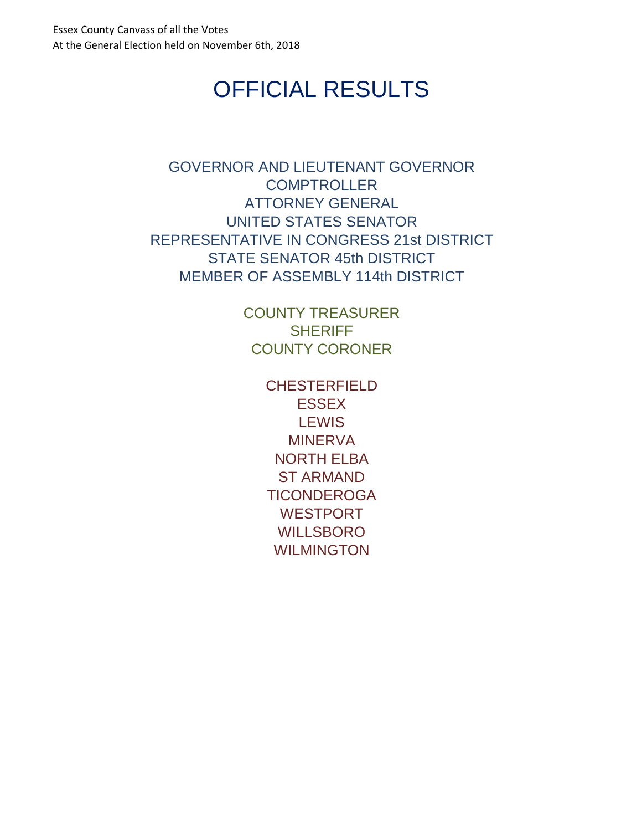# OFFICIAL RESULTS

<span id="page-0-0"></span>[GOVERNOR AND LIEUTENANT GOVERNOR](#page-1-0) **[COMPTROLLER](#page-2-0)** [ATTORNEY GENERAL](#page-3-0) [UNITED STATES SENATOR](#page-4-0) [REPRESENTATIVE IN CONGRESS 21st DISTRICT](#page-5-0) [STATE SENATOR 45th DISTRICT](#page-6-0) [MEMBER OF ASSEMBLY 114th DISTRICT](#page-7-0)

> [COUNTY TREASURER](#page-8-0) **[SHERIFF](#page-9-0)** [COUNTY CORONER](#page-10-0)

> > [CHESTERFIELD](#page-11-0) **[ESSEX](#page-12-0) [LEWIS](#page-13-0)** [MINERVA](#page-14-0) [NORTH ELBA](#page-15-0) [ST ARMAND](#page-16-0) **[TICONDEROGA](#page-17-0)** [WESTPORT](#page-18-0) [WILLSBORO](#page-19-0) [WILMINGTON](#page-20-0)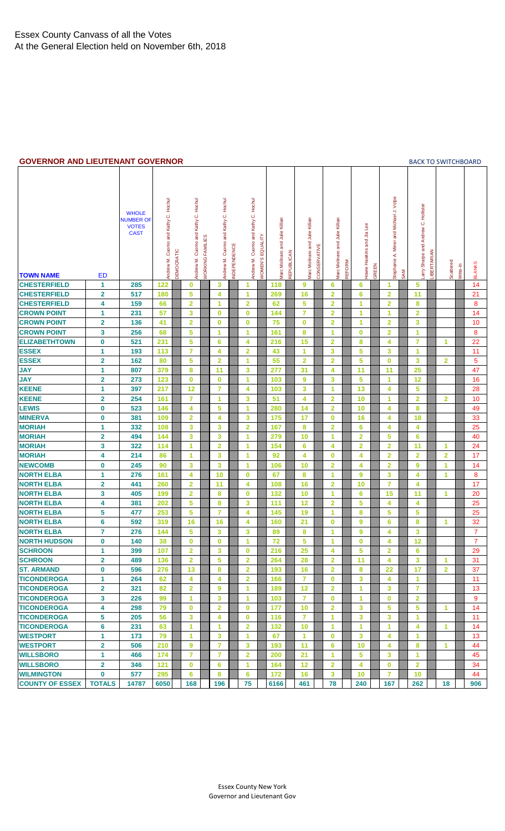#### <span id="page-1-0"></span>**GOVERNOR AND LIEUTENANT GOVERNOR [BACK TO SWITCHBOARD](#page-0-0)**

| 997-1898 AND LILVILIANT            |                         | vv v                                                            | <b>LIVIVOI</b>                      |                   |                                        |                                |                                                          |                                     |                                |                                 |            |                                 |              |                                 |               |                           |       |                                         |     | <b>DACK TO JWITCHDOAIL</b>          |             |                         |          |                |
|------------------------------------|-------------------------|-----------------------------------------------------------------|-------------------------------------|-------------------|----------------------------------------|--------------------------------|----------------------------------------------------------|-------------------------------------|--------------------------------|---------------------------------|------------|---------------------------------|--------------|---------------------------------|---------------|---------------------------|-------|-----------------------------------------|-----|-------------------------------------|-------------|-------------------------|----------|----------------|
| <b>TOWN NAME</b>                   | <b>ED</b>               | <b>WHOLE</b><br><b>NUMBER OF</b><br><b>VOTES</b><br><b>CAST</b> | Andrew M. Cuomo and Kathy C. Hochul | <b>DEMOCRATIC</b> | Cuomo and Kathy C. Hochul<br>Andrew M. | <b><i>NORKING FAMILIES</i></b> | Kathy C. Hochul<br>Cuomo and<br>NDEPENDENCE<br>Andrew M. | Andrew M. Cuomo and Kathy C. Hochul | <b><i>NOMEN'S EQUALITY</i></b> | Marc Molinaro and Julie Killian | REPUBLICAN | Marc Molinaro and Julie Killian | CONSERVATIVE | Marc Molinaro and Julie Killian | <b>REFORM</b> | Howie Hawkins and Jia Lee | GREEN | Stephanie A. Miner and Michael J. Volpe | SAM | arry Sharpe and Andrew C. Hollister | LIBERTARIAN | Scattered               | Write-In | <b>BLANKS</b>  |
| <b>CHESTERFIELD</b>                | 1                       | 285                                                             | 122                                 |                   | $\bf{0}$                               | 3                              |                                                          | 1                                   |                                | 118                             |            | 9                               |              | 6                               |               | 6                         |       | 1                                       |     | 5                                   |             |                         |          | 14             |
| <b>CHESTERFIELD</b>                | $\mathbf{2}$            | 517                                                             | 180                                 |                   | 5                                      | 4                              |                                                          | 1                                   |                                | 269                             |            | 16                              |              | $\overline{2}$                  |               | 6                         |       | $\overline{\mathbf{2}}$                 |     | 11                                  |             |                         |          | 21             |
| <b>CHESTERFIELD</b>                | 4                       | 159                                                             | 66                                  |                   | $\overline{\mathbf{2}}$                | 1                              |                                                          | $\overline{2}$                      |                                | 62                              |            | 5                               |              | $\overline{\mathbf{2}}$         |               | 1                         |       | $\overline{2}$                          |     | 8                                   |             |                         |          | 8              |
| <b>CROWN POINT</b>                 | 1                       | 231                                                             | 57                                  |                   | 3                                      | 0                              |                                                          | $\bf{0}$                            |                                | 144                             |            | $\overline{7}$                  |              | $\overline{\mathbf{2}}$         |               | 1                         |       | 1                                       |     | $\overline{2}$                      |             |                         |          | 14             |
| <b>CROWN POINT</b>                 | $\overline{\mathbf{2}}$ | 136                                                             | 41                                  |                   | $\overline{2}$                         | $\bf{0}$                       |                                                          | $\bf{0}$                            |                                | 75                              |            | $\bf{0}$                        |              | $\overline{\mathbf{2}}$         |               | 1                         |       | $\overline{\mathbf{2}}$                 |     | 3                                   |             |                         |          | 10             |
| <b>CROWN POINT</b>                 | 3                       | 256                                                             | 68                                  |                   | 5                                      | 1                              |                                                          | 1                                   |                                | 161                             |            | 8                               |              | 1                               |               | $\mathbf 0$               |       | $\overline{2}$                          |     | 1                                   |             |                         |          | 8              |
| <b>ELIZABETHTOWN</b>               | $\mathbf 0$             | 521                                                             | 231                                 |                   | 5                                      | 6                              |                                                          | 4                                   |                                | 216                             |            | 15                              |              | $\overline{\mathbf{2}}$         |               | 8                         |       | 4                                       |     | $\overline{7}$                      |             | 1                       |          | 22             |
| <b>ESSEX</b>                       | 1                       | 193                                                             | 113                                 |                   | $\overline{7}$                         | 4                              |                                                          | $\overline{2}$                      |                                | 43                              |            | $\blacktriangleleft$            |              | 3                               |               | 5                         |       | 3                                       |     | $\blacktriangleleft$                |             |                         |          | 11             |
| <b>ESSEX</b>                       | $\overline{\mathbf{2}}$ | 162                                                             | 80                                  |                   | 5                                      | $\overline{\mathbf{2}}$        |                                                          | 1                                   |                                | 55                              |            | $\overline{2}$                  |              | $\overline{\mathbf{2}}$         |               | 5                         |       | $\bf{0}$                                |     | 3                                   |             | $\overline{\mathbf{2}}$ |          | 5              |
| <b>JAY</b>                         | 1                       | 807                                                             | 379                                 |                   | 8                                      | 11                             |                                                          | 3                                   |                                | 277                             |            | 31                              |              | 4                               |               | 11                        |       | 11                                      |     | 25                                  |             |                         |          | 47             |
| <b>JAY</b>                         | $\overline{\mathbf{2}}$ | 273                                                             | 123                                 |                   | $\bf{0}$                               | 0                              |                                                          | 1                                   |                                | 103                             |            | 9                               |              | 3                               |               | 5                         |       | 1                                       |     | 12                                  |             |                         |          | 16             |
| <b>KEENE</b>                       | 1                       | 397                                                             | 217                                 |                   | 12                                     | $\overline{7}$                 |                                                          | 4                                   |                                | 103                             |            | 3                               |              | 1                               |               | 13                        |       | 4                                       |     | 5                                   |             |                         |          | 28             |
| <b>KEENE</b>                       | $\mathbf{2}$            | 254                                                             | 161                                 |                   | $\overline{7}$                         | 1                              |                                                          | 3                                   |                                | 51                              |            | 4                               |              | $\overline{\mathbf{2}}$         |               | 10                        |       | 1                                       |     | $\overline{2}$                      |             | $\overline{\mathbf{2}}$ |          | 10             |
| <b>LEWIS</b>                       | $\bf{0}$                | 523                                                             | 146                                 |                   | 4                                      | 5                              |                                                          | 1                                   |                                | 280                             |            | 14                              |              | $\overline{\mathbf{2}}$         |               | 10                        |       | 4                                       |     | 8                                   |             |                         |          | 49             |
| <b>MINERVA</b>                     | $\bf{0}$                | 381                                                             | 109                                 |                   | $\overline{2}$                         | 4                              |                                                          | 3                                   |                                | 175                             |            | 17                              |              | 0                               |               | 16                        |       | 4                                       |     | 18                                  |             |                         |          | 33             |
| <b>MORIAH</b>                      | 1                       | 332                                                             | 108                                 |                   | 3                                      | 3                              |                                                          | $\overline{\mathbf{2}}$             |                                | 167                             |            | 8                               |              | $\overline{\mathbf{2}}$         |               | 6                         |       | 4                                       |     | 4                                   |             |                         |          | 25             |
| <b>MORIAH</b>                      | $\mathbf{2}$            | 494                                                             | 144                                 |                   | 3                                      | 3                              |                                                          | 1                                   |                                | 279                             |            | 10                              |              | 1                               |               | $\overline{2}$            |       | 5                                       |     | 6                                   |             |                         |          | 40             |
| <b>MORIAH</b>                      | 3                       | 322                                                             | 114                                 |                   | 1                                      | $\overline{\mathbf{2}}$        |                                                          | 1                                   |                                | 154                             |            | 6                               |              | 4                               |               | $\overline{\mathbf{2}}$   |       | $\overline{\mathbf{2}}$                 |     | 11                                  |             | 1                       |          | 24             |
| <b>MORIAH</b>                      | 4                       | 214                                                             | 86                                  |                   | 1                                      | 3                              |                                                          | 1                                   |                                | 92                              |            | 4                               |              | $\bf{0}$                        |               | 4                         |       | $\overline{2}$                          |     | $\overline{2}$                      |             | $\overline{\mathbf{2}}$ |          | 17             |
| <b>NEWCOMB</b>                     | $\bf{0}$                | 245                                                             | 90                                  |                   | 3                                      | 3                              |                                                          | 1                                   |                                | 106                             |            | 10                              |              | $\overline{\mathbf{2}}$         |               | 4                         |       | $\overline{2}$                          |     | 9                                   |             | 1                       |          | 14             |
| <b>NORTH ELBA</b>                  | $\mathbf{1}$            | 276                                                             | 161                                 |                   | $\overline{\mathbf{4}}$                | 10                             |                                                          | $\bf{0}$                            |                                | 67                              |            | 8                               |              | 1                               |               | 9                         |       | 3                                       |     | 4                                   |             | 1                       |          | 8              |
| <b>NORTH ELBA</b>                  | $\mathbf{2}$            | 441                                                             | 260                                 |                   | $\overline{2}$                         | 11                             |                                                          | 4                                   |                                | 108                             |            | 16                              |              | $\overline{\mathbf{2}}$         |               | 10                        |       | $\overline{7}$                          |     | 4                                   |             |                         |          | 17             |
| <b>NORTH ELBA</b>                  | 3                       | 405                                                             | 199                                 |                   | $\overline{\mathbf{2}}$                | 8                              |                                                          | $\bf{0}$                            |                                | 132                             |            | 10                              |              | 1                               |               | 6                         |       | 15                                      |     | 11                                  |             | 1                       |          | 20             |
| <b>NORTH ELBA</b>                  | 4                       | 381                                                             | 202                                 |                   | 5                                      | 8                              |                                                          | 3                                   |                                | 111                             |            | 12                              |              | $\overline{\mathbf{2}}$         |               | 5                         |       | 4                                       |     | 4                                   |             |                         |          | 25             |
| <b>NORTH ELBA</b>                  | 5                       | 477                                                             | 253                                 |                   | 5                                      | $\overline{7}$                 |                                                          | 4                                   |                                | 145                             |            | 19                              |              | 1                               |               | 8                         |       | 5                                       |     | 5                                   |             |                         |          | 25             |
| <b>NORTH ELBA</b>                  | $6\phantom{a}$          | 592                                                             | 319                                 |                   | 16                                     | 16                             |                                                          | 4                                   |                                | 160                             |            | 21                              |              | $\mathbf 0$                     |               | 9                         |       | 6                                       |     | 8                                   |             | 1                       |          | 32             |
| <b>NORTH ELBA</b>                  | 7                       | 276                                                             | 144                                 |                   | 5                                      | 3                              |                                                          | 3                                   |                                | 89                              |            | 8                               |              | 1                               |               | ğ                         |       | 4                                       |     | 3                                   |             |                         |          | $\overline{7}$ |
| <b>NORTH HUDSON</b>                | $\mathbf 0$             | 140                                                             | 38                                  |                   | $\bf{0}$                               | 0                              |                                                          | 1                                   |                                | 72                              |            | 5                               |              | 1                               |               | $\bf{0}$                  |       | 4                                       |     | 12                                  |             |                         |          | 7              |
| <b>SCHROON</b>                     | 1                       | 399                                                             | 107                                 |                   | $\overline{2}$                         | 3                              |                                                          | $\bf{0}$                            |                                | 216                             |            | 25                              |              | 4                               |               | 5                         |       | $\overline{2}$                          |     | 6                                   |             |                         |          | 29             |
| <b>SCHROON</b>                     | $\mathbf{2}$            | 489                                                             | 136                                 |                   | $\overline{\mathbf{2}}$                | 5                              |                                                          | $\overline{\mathbf{2}}$             |                                | 264                             |            | 28                              |              | 2                               |               | 11                        |       | 4                                       |     | 3                                   |             | 1.                      |          | 31             |
| <b>ST. ARMAND</b>                  | $\bf{0}$                | 596                                                             | 276                                 |                   | 13                                     | 8                              |                                                          | $\overline{\mathbf{2}}$             |                                | 193                             |            | 16                              |              | $\overline{\mathbf{2}}$         |               | 8                         |       | 22                                      |     | 17                                  |             | $\mathbf{2}$            |          | 37             |
| <b>TICONDEROGA</b>                 | 1                       | 264                                                             | 62                                  |                   | 4                                      | 4                              |                                                          | $\overline{\mathbf{2}}$             |                                | 166                             |            | $\overline{7}$                  |              | 0                               |               | 3                         |       | 4                                       |     | $\blacktriangleleft$                |             |                         |          | 11             |
| <b>TICONDEROGA</b>                 | $\overline{\mathbf{2}}$ | 321                                                             | 82                                  |                   | $\overline{\mathbf{2}}$                | 9                              |                                                          | 1                                   |                                | 189                             |            | 12                              |              | $\overline{\mathbf{2}}$         |               | 1                         |       | 3                                       |     | 7                                   |             |                         |          | 13             |
| <b>TICONDEROGA</b>                 | 3                       | 226                                                             | 99                                  |                   | 1                                      | 3                              |                                                          | 1                                   |                                | 103                             |            | $\overline{7}$                  |              | 0                               |               | 1                         |       | $\bf{0}$                                |     | $\overline{2}$                      |             |                         |          | 9              |
| <b>TICONDEROGA</b>                 | 4                       | 298                                                             | 79                                  |                   | $\bf{0}$                               | $\overline{\mathbf{2}}$        |                                                          | $\bf{0}$                            |                                | 177                             |            | 10                              |              | $\overline{\mathbf{2}}$         |               | 3                         |       | 5                                       |     | 5                                   |             | 1.                      |          | 14             |
| <b>TICONDEROGA</b>                 | 5                       | 205                                                             | 56                                  |                   | 3                                      | 4                              |                                                          | $\bf{0}$                            |                                | 116                             |            | 7                               |              | 1                               |               | 3                         |       | 3                                       |     | 1                                   |             |                         |          |                |
| <b>TICONDEROGA</b>                 | $6\phantom{1}6$         | 231                                                             | 63                                  |                   | 1                                      | 1                              |                                                          | $\overline{2}$                      |                                | 132                             |            | 10                              |              | 1                               |               | 1                         |       | $\mathbf{1}$                            |     | 4                                   |             | $\blacktriangleleft$    |          | 11<br>14       |
|                                    | 1                       |                                                                 | 79                                  |                   | $\mathbf{1}$                           | 3                              |                                                          | 1                                   |                                | 67                              |            | $\mathbf{1}$                    |              | 0                               |               | 3                         |       | 4                                       |     | 1                                   |             |                         |          |                |
| <b>WESTPORT</b><br><b>WESTPORT</b> |                         | 173<br>506                                                      | 210                                 |                   | $\boldsymbol{9}$                       | $\overline{7}$                 |                                                          | 3                                   |                                | 193                             |            | 11                              |              | 6                               |               | 10                        |       | 4                                       |     | 8                                   |             | 1.                      |          | 13<br>44       |
| <b>WILLSBORO</b>                   | $\mathbf{2}$<br>1       | 466                                                             | 174                                 |                   | $\overline{7}$                         | $\overline{7}$                 |                                                          | $\overline{2}$                      |                                | 200                             |            | 21                              |              | 1                               |               | 5                         |       |                                         |     | 1                                   |             |                         |          | 45             |
| <b>WILLSBORO</b>                   | 2                       | 346                                                             | 121                                 |                   | $\mathbf 0$                            | 6                              |                                                          | 1                                   |                                | 164                             |            | 12                              |              | $\overline{\mathbf{2}}$         |               | 4                         |       | 3<br>0                                  |     | $\overline{2}$                      |             |                         |          | 34             |
| <b>WILMINGTON</b>                  | $\bf{0}$                | 577                                                             | 295                                 |                   | 6                                      | 8                              |                                                          | 6                                   |                                | 172                             |            |                                 |              | 3                               |               | 10                        |       | 7                                       |     | 10                                  |             |                         |          | 44             |
| <b>COUNTY OF ESSEX</b>             | <b>TOTALS</b>           | 14787                                                           | 6050                                |                   | 168                                    | 196                            |                                                          | 75                                  |                                | 6166                            |            | 16<br>461                       |              | 78                              |               | 240                       |       | 167                                     |     | 262                                 |             | 18                      |          | 906            |
|                                    |                         |                                                                 |                                     |                   |                                        |                                |                                                          |                                     |                                |                                 |            |                                 |              |                                 |               |                           |       |                                         |     |                                     |             |                         |          |                |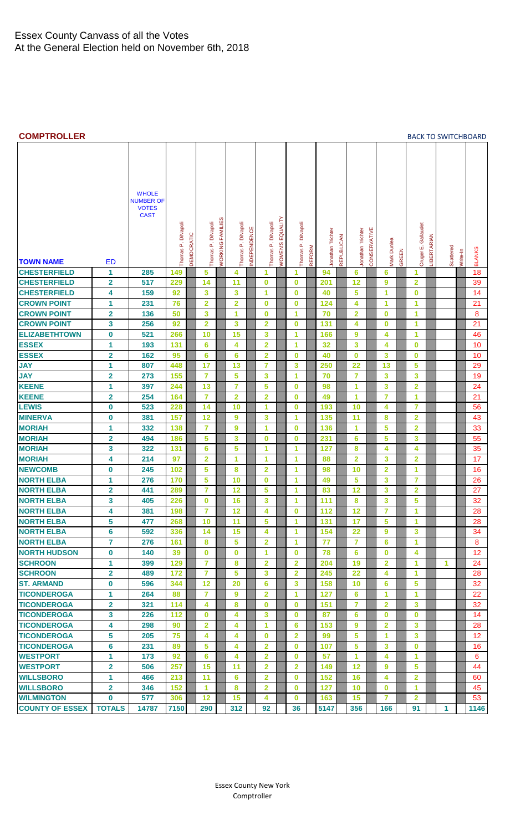#### <span id="page-2-0"></span>**COMPTROLLER** [BACK TO SWITCHBOARD](#page-0-0)

|                        |                         | <b>WHOLE</b><br><b>NUMBER OF</b><br><b>VOTES</b><br><b>CAST</b> |                    |                   |                            |                                |                         |             |                    |                |                         |               |                   |            |                   |              |                         |       |                         |             |           |          |                   |
|------------------------|-------------------------|-----------------------------------------------------------------|--------------------|-------------------|----------------------------|--------------------------------|-------------------------|-------------|--------------------|----------------|-------------------------|---------------|-------------------|------------|-------------------|--------------|-------------------------|-------|-------------------------|-------------|-----------|----------|-------------------|
|                        |                         |                                                                 | Thomas P. DiNapoli | <b>DEMOCRATIC</b> | DiNapoli<br>$\mathbf{a}^*$ | <b><i>NORKING FAMILIES</i></b> | Thomas P. DiNapoli      | NDEPENDENCE | Thomas P. DiNapoli | EQUALITY       | <b>DiNapoli</b>         |               | Jonathan Trichter | REPUBLICAN | Jonathan Trichter | CONSERVATIVE |                         |       | Cruger E. Gallaudet     | LIBERTARIAN |           |          |                   |
|                        |                         |                                                                 |                    |                   | Thomas                     |                                |                         |             |                    | <b>WOMEN'S</b> | Thomas P.               | <b>REFORM</b> |                   |            |                   |              | Mark Dunlea             | GREEN |                         |             | Scattered | Write-In | <b>BLANKS</b>     |
| <b>TOWN NAME</b>       | <b>ED</b>               |                                                                 |                    |                   |                            |                                |                         |             |                    |                |                         |               |                   |            |                   |              |                         |       |                         |             |           |          |                   |
| <b>CHESTERFIELD</b>    | 1                       | 285                                                             | 149                |                   | 5                          |                                | 4                       |             | 1                  |                | $\blacktriangleleft$    |               | 94                |            | 6                 |              | 6                       |       | 1                       |             |           |          | 18                |
| <b>CHESTERFIELD</b>    | $\overline{2}$          | 517                                                             | 229                |                   | 14                         |                                | 11                      |             | $\bf{0}$           |                | $\bf{0}$                |               | 201               |            | 12                |              | 9                       |       | $\overline{2}$          |             |           |          | 39                |
| <b>CHESTERFIELD</b>    | 4                       | 159                                                             | 92                 |                   | 3                          |                                | 3                       |             | 1                  |                | $\bf{0}$                |               | 40                |            | 5                 |              | 1                       |       | 0                       |             |           |          | 14                |
| <b>CROWN POINT</b>     | 1                       | 231                                                             | 76                 |                   | $\overline{\mathbf{2}}$    |                                | $\overline{\mathbf{2}}$ |             | $\bf{0}$           |                | 0                       |               | 124               |            | 4                 |              | 1                       |       | 1                       |             |           |          | 21                |
| <b>CROWN POINT</b>     | $\overline{2}$          | 136                                                             | 50                 |                   | 3                          |                                | 1                       |             | $\bf{0}$           |                | 1                       |               | 70                |            | $\overline{2}$    |              | $\bf{0}$                |       | 1                       |             |           |          | 8                 |
| <b>CROWN POINT</b>     | 3                       | 256                                                             | 92                 |                   | $\overline{2}$             |                                | 3                       |             | $\overline{2}$     |                | $\bf{0}$                |               | 131               |            | 4                 |              | $\bf{0}$                |       | 1                       |             |           |          | 21                |
| <b>ELIZABETHTOWN</b>   | $\mathbf 0$             | 521                                                             | 266                |                   | 10                         |                                | 15                      |             | 3                  |                | $\overline{\mathbf{1}}$ |               | 166               |            | 9                 |              | 4                       |       | 1                       |             |           |          | 46                |
| <b>ESSEX</b>           | 1                       | 193                                                             | 131                |                   | 6                          |                                | 4                       |             | $\overline{2}$     |                | 1                       |               | 32                |            | 3                 |              | 4                       |       | $\bf{0}$                |             |           |          | 10                |
| <b>ESSEX</b>           | $\overline{\mathbf{2}}$ | 162                                                             | 95                 |                   | $6\phantom{1}6$            |                                | 6                       |             | $\overline{2}$     |                | $\bf{0}$                |               | 40                |            | $\bf{0}$          |              | 3                       |       | 0                       |             |           |          | 10                |
| <b>JAY</b>             | 1                       | 807                                                             | 448                |                   | 17                         |                                | 13                      |             | $\overline{7}$     |                | 3                       |               | 250               |            | 22                |              | 13                      |       | 5                       |             |           |          | 29                |
| <b>JAY</b>             | $\overline{2}$          | 273                                                             | 155                |                   | $\overline{7}$             |                                | 5                       |             | 3                  |                | 1                       |               | 70                |            | $\overline{7}$    |              | 3                       |       | 3                       |             |           |          | 19                |
| <b>KEENE</b>           | 1                       | 397                                                             | 244                |                   | 13                         |                                | $\overline{7}$          |             | 5                  |                | $\bf{0}$                |               | 98                |            | 1                 |              | 3                       |       | $\overline{2}$          |             |           |          | 24                |
| <b>KEENE</b>           | $\overline{\mathbf{2}}$ | 254                                                             | 164                |                   | $\overline{7}$             |                                | $\overline{2}$          |             | $\overline{2}$     |                | $\bf{0}$                |               | 49                |            | 1                 |              | $\overline{7}$          |       | 1                       |             |           |          | 21                |
| <b>LEWIS</b>           | 0                       | 523                                                             | 228                |                   | 14                         |                                | 10                      |             | 1                  |                | $\bf{0}$                |               | 193               |            | 10                |              | 4                       |       | 7                       |             |           |          | 56                |
| <b>MINERVA</b>         | $\bf{0}$                | 381                                                             | 157                |                   | 12                         |                                | 9                       |             | 3                  |                | 1                       |               | 135               |            | 11                |              | 8                       |       | $\mathbf{2}$            |             |           |          | 43                |
| <b>MORIAH</b>          | 1                       | 332                                                             | 138                |                   | $\overline{7}$             |                                | 9                       |             | 1                  |                | $\bf{0}$                |               | 136               |            | 1                 |              | 5                       |       | $\overline{2}$          |             |           |          | 33                |
| <b>MORIAH</b>          | $\overline{\mathbf{2}}$ | 494                                                             | 186                |                   | 5                          |                                | 3                       |             | $\bf{0}$           |                | $\bf{0}$                |               | 231               |            | 6                 |              | 5                       |       | 3                       |             |           |          | 55                |
| <b>MORIAH</b>          | 3                       | 322                                                             | 131                |                   | 6                          |                                | 5                       |             | 1                  |                | 1                       |               | 127               |            | 8                 |              | 4                       |       | 4                       |             |           |          | 35                |
| <b>MORIAH</b>          | 4                       | 214                                                             | 97                 |                   | 2                          |                                | 1                       |             | 1                  |                | 1                       |               | 88                |            | 2                 |              | 3                       |       | $\overline{\mathbf{2}}$ |             |           |          | 17                |
| <b>NEWCOMB</b>         | 0                       | 245                                                             | 102                |                   | 5                          |                                | 8                       |             | $\overline{2}$     |                | 1                       |               | 98                |            | 10                |              | $\overline{\mathbf{2}}$ |       | 1                       |             |           |          | 16                |
| <b>NORTH ELBA</b>      | 1                       | 276                                                             | 170                |                   | 5                          |                                | 10                      |             | $\mathbf 0$        |                | 1                       |               | 49                |            | 5                 |              | 3                       |       | $\overline{7}$          |             |           |          | 26                |
| <b>NORTH ELBA</b>      | $\mathbf{2}$            | 441                                                             | 289                |                   | $\overline{7}$             |                                | 12                      |             | 5                  |                | $\overline{1}$          |               | 83                |            | 12                |              | 3                       |       | $\mathbf{2}$            |             |           |          | 27                |
| <b>NORTH ELBA</b>      | 3                       | 405                                                             | 226                |                   | $\bf{0}$                   |                                | 16                      |             | 3                  |                | 1                       |               | 111               |            | 8                 |              | 3                       |       | 5                       |             |           |          | 32                |
| <b>NORTH ELBA</b>      | 4                       | 381                                                             | 198                |                   | $\overline{7}$             |                                | 12                      |             | 4                  |                | $\mathbf 0$             |               | 112               |            | 12                |              | $\overline{7}$          |       | 1                       |             |           |          | 28                |
| <b>NORTH ELBA</b>      | 5                       | 477                                                             | 268                |                   | 10                         |                                | 11                      |             | 5                  |                | 1                       |               | 131               |            | 17                |              | 5                       |       | 1                       |             |           |          | 28                |
| <b>NORTH ELBA</b>      | 6                       | 592                                                             | 336                |                   | 14                         |                                | 15                      |             | 4                  |                | 1                       |               | 154               |            | 22                |              | 9                       |       | 3                       |             |           |          | 34                |
| <b>NORTH ELBA</b>      | $\overline{7}$          | 276                                                             | 161                |                   | 8                          |                                | 5                       |             | $\overline{2}$     |                | 1                       |               | 77                |            | $\overline{7}$    |              | 6                       |       | 1                       |             |           |          | 8                 |
| <b>NORTH HUDSON</b>    | $\mathbf 0$             | 140                                                             | 39                 |                   | $\bf{0}$                   |                                | $\bf{0}$                |             | 1                  |                | $\bf{0}$                |               | 78                |            | 6                 |              | 0                       |       | 4                       |             |           |          | $12 \overline{ }$ |
| <b>SCHROON</b>         | 1                       | 399                                                             | 129                |                   | $\overline{7}$             |                                | 8                       |             | $\overline{2}$     |                | $\overline{2}$          |               | 204               |            | 19                |              | $\overline{\mathbf{2}}$ |       | 1                       |             | 1         |          | 24                |
| <b>SCHROON</b>         | $\mathbf{2}$            | 489                                                             | 172                |                   | $\overline{7}$             |                                | 5                       |             | 3                  |                | $\overline{2}$          |               | 245               |            | 22                |              | 4                       |       | 1                       |             |           |          | 28                |
| <b>ST. ARMAND</b>      | 0                       | 596                                                             | 344                |                   | 12                         |                                | 20                      |             | 6                  |                | 3                       |               | 158               |            | 10                |              | 6                       |       | 5.                      |             |           |          | 32                |
| <b>TICONDEROGA</b>     | $\mathbf{1}$            | 264                                                             | 88                 |                   | $\overline{7}$             |                                | $\mathbf{9}$            |             | $\overline{2}$     |                | $\blacktriangleleft$    |               | 127               |            | 6                 |              | 1                       |       | $\blacktriangleleft$    |             |           |          | 22                |
| <b>TICONDEROGA</b>     | $\mathbf{2}$            | 321                                                             | 114                |                   | 4                          |                                | 8                       |             | $\bf{0}$           |                | $\bf{0}$                |               | 151               |            | $\overline{7}$    |              | 2                       |       | 3                       |             |           |          | 32                |
| <b>TICONDEROGA</b>     | 3                       | 226                                                             | 112                |                   | $\bf{0}$                   |                                | 4                       |             | 3                  |                | $\bf{0}$                |               | 87                |            | 6                 |              | $\bf{0}$                |       | 0                       |             |           |          | 14                |
| <b>TICONDEROGA</b>     | 4                       | 298                                                             | 90                 |                   | $\mathbf{2}$               |                                | 4                       |             | 1                  |                | 6                       |               | 153               |            | 9                 |              | $\overline{\mathbf{2}}$ |       | 3                       |             |           |          | 28                |
| <b>TICONDEROGA</b>     | 5                       | 205                                                             | 75                 |                   | 4                          |                                | 4                       |             | $\bf{0}$           |                | $\overline{2}$          |               | 99                |            | 5                 |              | 1                       |       | 3                       |             |           |          | 12                |
| <b>TICONDEROGA</b>     | 6                       | 231                                                             | 89                 |                   | 5                          |                                | 4                       |             | $\mathbf{2}$       |                | $\bf{0}$                |               | 107               |            | 5                 |              | 3                       |       | $\bf{0}$                |             |           |          | 16                |
| <b>WESTPORT</b>        | 1                       | 173                                                             | 92                 |                   | 6                          |                                | 4                       |             | $\mathbf{2}$       |                | $\bf{0}$                |               | 57                |            | 1                 |              | 4                       |       | 1                       |             |           |          | 6                 |
| <b>WESTPORT</b>        | $\mathbf{2}$            | 506                                                             | 257                |                   | 15                         |                                | 11                      |             | $\overline{2}$     |                | $\overline{2}$          |               | 149               |            | 12                |              | 9                       |       | 5                       |             |           |          | 44                |
| <b>WILLSBORO</b>       | 1                       | 466                                                             | 213                |                   | 11                         |                                | 6                       |             | $\mathbf{2}$       |                | $\bf{0}$                |               | 152               |            | 16                |              | 4                       |       | $\overline{2}$          |             |           |          | 60                |
| <b>WILLSBORO</b>       | $\overline{2}$          | 346                                                             | 152                |                   | $\blacktriangleleft$       |                                | 8                       |             | $\overline{2}$     |                | $\bf{0}$                |               | 127               |            | 10                |              | $\bf{0}$                |       | 1                       |             |           |          | 45                |
| <b>WILMINGTON</b>      | $\mathbf 0$             | 577                                                             | 306                |                   | 12                         |                                | 15                      |             | 4                  |                | $\bf{0}$                |               | 163               |            | 15                |              | $\overline{7}$          |       | $\overline{2}$          |             |           |          | 53                |
| <b>COUNTY OF ESSEX</b> | <b>TOTALS</b>           | 14787                                                           | 7150               |                   | 290                        |                                | 312                     |             | 92                 |                | 36                      |               | 5147              |            | 356               |              | 166                     |       | 91                      |             | 1.        |          | 1146              |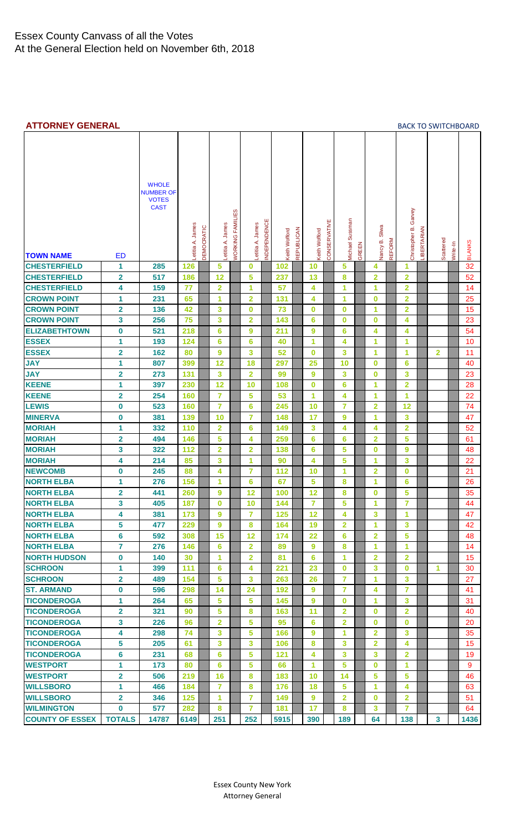#### <span id="page-3-0"></span>**ATTORNEY GENERAL** [BACK TO SWITCHBOARD](#page-0-0)

| <b>TOWN NAME</b>       | ED                      | <b>WHOLE</b><br><b>NUMBER OF</b><br><b>VOTES</b><br><b>CAST</b> | Letitia A. James | DEMOCRATIC | Lettia A. James         | <b>WORKING FAMILIES</b> | Lettia A. James         | NDEPENDENCE | Keith Wofford | <b>REPUBLICAN</b> | Keith Wofford  | CONSERVATIVE | Michael Sussman | GREEN | Nancy B. Sliwa | REFORM | Christopher B. Garvey   | LIBERTARIAN | Scattered    | Write-In | <b>BLANKS</b> |
|------------------------|-------------------------|-----------------------------------------------------------------|------------------|------------|-------------------------|-------------------------|-------------------------|-------------|---------------|-------------------|----------------|--------------|-----------------|-------|----------------|--------|-------------------------|-------------|--------------|----------|---------------|
| <b>CHESTERFIELD</b>    | 1                       | 285                                                             | 126              |            | 5                       |                         | $\bf{0}$                |             | 102           |                   | 10             |              | 5               |       | 4              |        | 1                       |             |              |          | 32            |
| <b>CHESTERFIELD</b>    | $\overline{\mathbf{2}}$ | 517                                                             | 186              |            | 12                      |                         | 5                       |             | 237           |                   | 13             |              | 8               |       | 2              |        | $\overline{\mathbf{2}}$ |             |              |          | 52            |
| <b>CHESTERFIELD</b>    | 4                       | 159                                                             | 77               |            | $\overline{\mathbf{2}}$ |                         | 1                       |             | 57            |                   | 4              |              | 1               |       | 1              |        | $\overline{\mathbf{2}}$ |             |              |          | 14            |
| <b>CROWN POINT</b>     | 1                       | 231                                                             | 65               |            | 1                       |                         | $\overline{2}$          |             | 131           |                   | 4              |              | 1               |       | $\bf{0}$       |        | $\overline{\mathbf{2}}$ |             |              |          | 25            |
| <b>CROWN POINT</b>     | $\overline{\mathbf{2}}$ | 136                                                             | 42               |            | 3                       |                         | $\bf{0}$                |             | 73            |                   | 0              |              | $\bf{0}$        |       | 1              |        | $\overline{\mathbf{2}}$ |             |              |          | 15            |
| <b>CROWN POINT</b>     | 3                       | 256                                                             | 75               |            | 3                       |                         | $\overline{2}$          |             | 143           |                   | 6              |              | $\bf{0}$        |       | $\bf{0}$       |        | 4                       |             |              |          | 23            |
| <b>ELIZABETHTOWN</b>   | 0                       | 521                                                             | 218              |            | 6                       |                         | 9                       |             | 211           |                   | 9              |              | 6               |       | 4              |        | 4                       |             |              |          | 54            |
| <b>ESSEX</b>           | 1                       | 193                                                             | 124              |            | 6                       |                         | $6\phantom{1}6$         |             | 40            |                   | 1              |              | 4               |       | 1              |        | 1                       |             |              |          | 10            |
| <b>ESSEX</b>           | $\overline{\mathbf{2}}$ | 162                                                             | 80               |            | 9                       |                         | 3                       |             | 52            |                   | $\bf{0}$       |              | 3               |       | 1              |        | 1                       |             | 2            |          | 11            |
| <b>JAY</b>             | 1                       | 807                                                             | 399              |            | 12                      |                         | 18                      |             | 297           |                   | 25             |              | 10              |       | $\bf{0}$       |        | 6                       |             |              |          | 40            |
| <b>JAY</b>             | $\overline{\mathbf{2}}$ | 273                                                             | 131              |            | 3                       |                         | $\overline{2}$          |             | 99            |                   | 9              |              | 3               |       | $\bf{0}$       |        | 3                       |             |              |          | 23            |
| <b>KEENE</b>           | 1                       | 397                                                             | 230              |            | 12                      |                         | 10                      |             | 108           |                   | 0              |              | 6               |       | 1              |        | $\overline{\mathbf{2}}$ |             |              |          | 28            |
| <b>KEENE</b>           | $\overline{\mathbf{2}}$ | 254                                                             | 160              |            | $\overline{7}$          |                         | 5                       |             | 53            |                   | 1              |              | 4               |       | 1              |        | 1                       |             |              |          | 22            |
| <b>LEWIS</b>           | 0                       | 523                                                             | 160              |            | $\overline{7}$          |                         | 6                       |             | 245           |                   | 10             |              | $\overline{7}$  |       | $\overline{2}$ |        | 12                      |             |              |          | 74            |
| <b>MINERVA</b>         | 0                       | 381                                                             | 139              |            | 10                      |                         | $\overline{7}$          |             | 148           |                   | 17             |              | 9               |       | 1              |        | 3                       |             |              |          | 47            |
| <b>MORIAH</b>          | 1                       | 332                                                             | 110              |            | $\overline{\mathbf{2}}$ |                         | 6                       |             | 149           |                   | 3              |              | 4               |       | 4              |        | $\overline{\mathbf{2}}$ |             |              |          | 52            |
| <b>MORIAH</b>          | $\overline{\mathbf{2}}$ | 494                                                             | 146              |            | 5                       |                         | 4                       |             | 259           |                   | 6              |              | 6               |       | $\overline{2}$ |        | 5                       |             |              |          | 61            |
| <b>MORIAH</b>          | 3                       | 322                                                             | 112              |            | $\overline{\mathbf{2}}$ |                         | $\overline{\mathbf{2}}$ |             | 138           |                   | 6              |              | 5               |       | $\bf{0}$       |        | 9                       |             |              |          | 48            |
| <b>MORIAH</b>          | 4                       | 214                                                             | 85               |            | 3                       |                         | 1                       |             | 90            |                   | 4              |              | 5               |       | 1              |        | 3                       |             |              |          | 22            |
| <b>NEWCOMB</b>         | 0                       | 245                                                             | 88               |            | 4                       |                         | $\overline{7}$          |             | 112           |                   | 10             |              | 1               |       | 2              |        | $\bf{0}$                |             |              |          | 21            |
| <b>NORTH ELBA</b>      | 1                       | 276                                                             | 156              |            | 1                       |                         | 6                       |             | 67            |                   | 5              |              | 8               |       | 1              |        | 6                       |             |              |          | 26            |
| <b>NORTH ELBA</b>      | $\overline{\mathbf{2}}$ | 441                                                             | 260              |            | 9                       |                         | 12                      |             | 100           |                   | 12             |              | 8               |       | $\bf{0}$       |        | 5                       |             |              |          | 35            |
| <b>NORTH ELBA</b>      | 3                       | 405                                                             | 187              |            | $\mathbf 0$             |                         | 10                      |             | 144           |                   | $\overline{7}$ |              | 5               |       | 1              |        | $\overline{7}$          |             |              |          | 44            |
| <b>NORTH ELBA</b>      | 4                       | 381                                                             | 173              |            | 9                       |                         | $\overline{7}$          |             | 125           |                   | 12             |              | 4               |       | 3              |        | 1                       |             |              |          | 47            |
| <b>NORTH ELBA</b>      | 5                       | 477                                                             | 229              |            | 9                       |                         | 8                       |             | 164           |                   | 19             |              | $\overline{2}$  |       | 1              |        | 3                       |             |              |          | 42            |
| <b>NORTH ELBA</b>      | 6                       | 592                                                             | 308              |            | 15                      |                         | 12                      |             | 174           |                   | 22             |              | 6               |       | $\overline{2}$ |        | 5                       |             |              |          | 48            |
| <b>NORTH ELBA</b>      | 7                       | 276                                                             | 146              |            | 6                       |                         | $\overline{2}$          |             | 89            |                   | 9              |              | 8               |       | 1              |        | 1                       |             |              |          | 14            |
| <b>NORTH HUDSON</b>    | 0                       | 140                                                             | 30               |            | 1                       |                         | $\overline{2}$          |             | 81            |                   | 6              |              | 1               |       | $\overline{2}$ |        | $\overline{2}$          |             |              |          | 15            |
| <b>SCHROON</b>         | 1                       | 399                                                             | 111              |            | 6                       |                         | 4                       |             | 221           |                   | 23             |              | $\bf{0}$        |       | 3              |        | $\bf{0}$                |             | 1            |          | 30            |
| <b>SCHROON</b>         | 2                       | 489                                                             | 154              |            | 5                       |                         | 3                       |             | 263           |                   | 26             |              | $\overline{7}$  |       | 1              |        | 3                       |             |              |          | 27            |
| <b>ST. ARMAND</b>      | 0                       | 596                                                             | 298              |            | 14                      |                         | 24                      |             | 192           |                   | 9              |              | $\overline{7}$  |       | 4              |        | $\overline{7}$          |             |              |          | 41            |
| <b>TICONDEROGA</b>     | 1                       | 264                                                             | 65               |            | 5                       |                         | 5                       |             | 145           |                   | 9              |              | $\bf{0}$        |       | 1              |        | 3                       |             |              |          | 31            |
| <b>TICONDEROGA</b>     | $\overline{2}$          | 321                                                             | 90               |            | 5                       |                         | 8                       |             | 163           |                   | 11             |              | $\overline{2}$  |       | $\bf{0}$       |        | $\overline{2}$          |             |              |          | 40            |
| <b>TICONDEROGA</b>     | 3                       | 226                                                             | 96               |            | 2                       |                         | 5                       |             | 95            |                   | 6              |              | $\overline{2}$  |       | $\bf{0}$       |        | $\bf{0}$                |             |              |          | 20            |
| <b>TICONDEROGA</b>     | 4                       | 298                                                             | 74               |            | 3                       |                         | 5                       |             | 166           |                   | 9              |              | 1               |       | $\overline{2}$ |        | 3                       |             |              |          | 35            |
| <b>TICONDEROGA</b>     | 5                       | 205                                                             | 61               |            | 3                       |                         | 3                       |             | 106           |                   | 8              |              | 3               |       | 2              |        | 4                       |             |              |          | 15            |
| <b>TICONDEROGA</b>     | 6                       | 231                                                             | 68               |            | 6                       |                         | 5                       |             | 121           |                   | 4              |              | 3               |       | 3              |        | $\overline{2}$          |             |              |          | 19            |
| <b>WESTPORT</b>        | 1                       | 173                                                             | 80               |            | 6                       |                         | 5                       |             | 66            |                   | 1              |              | 5               |       | $\bf{0}$       |        | 1                       |             |              |          | 9             |
| <b>WESTPORT</b>        | $\overline{\mathbf{2}}$ | 506                                                             | 219              |            | 16                      |                         | 8                       |             | 183           |                   | 10             |              | 14              |       | 5              |        | 5                       |             |              |          | 46            |
| <b>WILLSBORO</b>       | 1                       | 466                                                             | 184              |            | $\overline{7}$          |                         | 8                       |             | 176           |                   | 18             |              | 5               |       | 1              |        | 4                       |             |              |          | 63            |
| <b>WILLSBORO</b>       | $\mathbf{2}$            | 346                                                             | 125              |            | 1                       |                         | $\overline{7}$          |             | 149           |                   | 9              |              | $\overline{2}$  |       | $\bf{0}$       |        | $\mathbf{2}$            |             |              |          | 51            |
| <b>WILMINGTON</b>      | 0                       | 577                                                             | 282              |            | 8                       |                         | 7                       |             | 181           |                   | 17             |              | 8               |       | 3              |        | 7                       |             |              |          | 64            |
| <b>COUNTY OF ESSEX</b> | <b>TOTALS</b>           | 14787                                                           | 6149             |            | 251                     |                         | 252                     |             | 5915          |                   | 390            |              | 189             |       | 64             |        | 138                     |             | $\mathbf{3}$ |          | 1436          |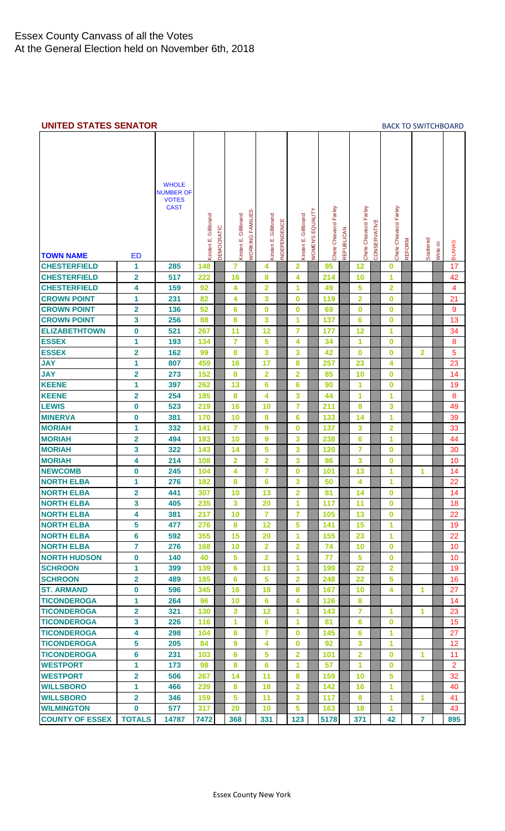#### <span id="page-4-0"></span>**UNITED STATES SENATOR [BACK TO SWITCHBOARD](#page-0-0)**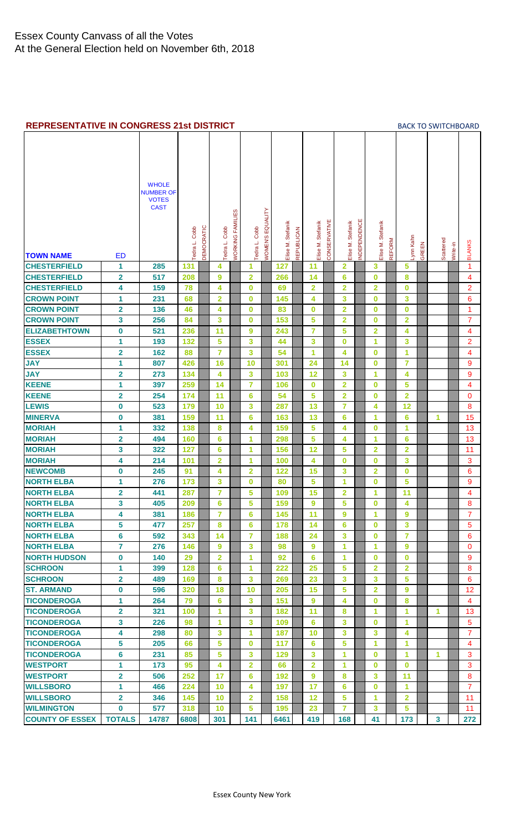#### <span id="page-5-0"></span>**REPRESENTATIVE IN CONGRESS 21st DISTRICT** [BACK TO SWITCHBOARD](#page-0-0)

| <b>TOWN NAME</b>       | <b>ED</b>               | <b>WHOLE</b><br><b>NUMBER OF</b><br><b>VOTES</b><br><b>CAST</b> | Tedra L. Cobb | DEMOCRATIC | Tedra L. Cobb           | <b>WORKING FAMILIES</b> | Tedra L. Cobb   | <b><i>NOMEN'S EQUALITY</i></b> | Elise M. Stefanik | REPUBLICAN | Elise M. Stefanik | CONSERVATIVE | Elise M. Stefanik       | NDEPENDENCE | Elise M. Stefanik       | <b>REFORM</b> | -ynn Kahn            | GREEN | Scattered      | Write-in | <b>BLANKS</b>  |
|------------------------|-------------------------|-----------------------------------------------------------------|---------------|------------|-------------------------|-------------------------|-----------------|--------------------------------|-------------------|------------|-------------------|--------------|-------------------------|-------------|-------------------------|---------------|----------------------|-------|----------------|----------|----------------|
| <b>CHESTERFIELD</b>    | 1                       | 285                                                             | 131           |            | 4                       |                         | 1               |                                | 127               |            | 11                |              | 2                       |             | 3                       |               | 5                    |       |                |          | 1              |
| <b>CHESTERFIELD</b>    | 2                       | 517                                                             | 208           |            | 9                       |                         | $\overline{2}$  |                                | 266               |            | 14                |              | 6                       |             | $\bf{0}$                |               | 8                    |       |                |          | 4              |
| <b>CHESTERFIELD</b>    | 4                       | 159                                                             | 78            |            | 4                       |                         | $\bf{0}$        |                                | 69                |            | $\overline{2}$    |              | $\overline{2}$          |             | $\mathbf{2}$            |               | $\bf{0}$             |       |                |          | $\overline{2}$ |
| <b>CROWN POINT</b>     | 1                       | 231                                                             | 68            |            | $\overline{\mathbf{2}}$ |                         | $\bf{0}$        |                                | 145               |            | 4                 |              | 3                       |             | $\bf{0}$                |               | 3                    |       |                |          | 6              |
| <b>CROWN POINT</b>     | $\overline{\mathbf{2}}$ | 136                                                             | 46            |            | 4                       |                         | $\bf{0}$        |                                | 83                |            | $\bf{0}$          |              | $\overline{2}$          |             | $\bf{0}$                |               | $\bf{0}$             |       |                |          | 1              |
| <b>CROWN POINT</b>     | 3                       | 256                                                             | 84            |            | 3                       |                         | $\bf{0}$        |                                | 153               |            | 5                 |              | $\mathbf{2}$            |             | $\bf{0}$                |               | $\mathbf{2}$         |       |                |          | $\overline{7}$ |
| <b>ELIZABETHTOWN</b>   | $\mathbf 0$             | 521                                                             | 236           |            | 11                      |                         | 9               |                                | 243               |            | $\overline{7}$    |              | 5                       |             | $\overline{2}$          |               | 4                    |       |                |          | 4              |
| <b>ESSEX</b>           | 1                       | 193                                                             | 132           |            | 5                       |                         | 3               |                                | 44                |            | 3                 |              | $\bf{0}$                |             | 1                       |               | 3                    |       |                |          | $\overline{2}$ |
| <b>ESSEX</b>           | $\overline{\mathbf{2}}$ | 162                                                             | 88            |            | $\overline{7}$          |                         | 3               |                                | 54                |            | 1                 |              | 4                       |             | $\bf{0}$                |               | 1                    |       |                |          | 4              |
| <b>JAY</b>             | 1                       | 807                                                             | 426           |            | 16                      |                         | 10              |                                | 301               |            | 24                |              | 14                      |             | $\bf{0}$                |               | $\overline{7}$       |       |                |          | 9              |
| <b>JAY</b>             | $\overline{\mathbf{2}}$ | 273                                                             | 134           |            | 4                       |                         | 3               |                                | 103               |            | 12                |              | 3                       |             | 1                       |               | 4                    |       |                |          | 9              |
| <b>KEENE</b>           | 1                       | 397                                                             | 259           |            | 14                      |                         | $\overline{7}$  |                                | 106               |            | $\bf{0}$          |              | $\overline{2}$          |             | $\bf{0}$                |               | 5                    |       |                |          | 4              |
| <b>KEENE</b>           | $\overline{\mathbf{2}}$ | 254                                                             | 174           |            | 11                      |                         | 6               |                                | 54                |            | 5                 |              | $\overline{\mathbf{2}}$ |             | $\bf{0}$                |               | $\overline{2}$       |       |                |          | $\mathbf{0}$   |
| <b>LEWIS</b>           | $\mathbf 0$             | 523                                                             | 179           |            | 10                      |                         | 3               |                                | 287               |            | 13                |              | $\overline{7}$          |             | 4                       |               | 12                   |       |                |          | 8              |
| <b>MINERVA</b>         | 0                       | 381                                                             | 159           |            | 11                      |                         | 6               |                                | 163               |            | 13                |              | 6                       |             | 1                       |               | 6                    |       | 1              |          | 15             |
| <b>MORIAH</b>          | 1                       | 332                                                             | 138           |            | 8                       |                         | 4               |                                | 159               |            | 5                 |              | 4                       |             | $\bf{0}$                |               | 1                    |       |                |          | 13             |
| <b>MORIAH</b>          | $\overline{\mathbf{2}}$ | 494                                                             | 160           |            | 6                       |                         | 1               |                                | 298               |            | 5                 |              | 4                       |             | 1                       |               | 6                    |       |                |          | 13             |
| <b>MORIAH</b>          | 3                       | 322                                                             | 127           |            | 6                       |                         | 1               |                                | 156               |            | 12                |              | 5                       |             | $\overline{\mathbf{2}}$ |               | $\overline{2}$       |       |                |          | 11             |
| <b>MORIAH</b>          | 4                       | 214                                                             | 101           |            | $\overline{2}$          |                         | 1               |                                | 100               |            | 4                 |              | $\bf{0}$                |             | $\bf{0}$                |               | 3                    |       |                |          | 3              |
| <b>NEWCOMB</b>         | 0                       | 245                                                             | 91            |            | 4                       |                         | $\overline{2}$  |                                | 122               |            | 15                |              | 3                       |             | $\overline{2}$          |               | $\bf{0}$             |       |                |          | 6              |
| <b>NORTH ELBA</b>      | 1                       | 276                                                             | 173           |            | 3                       |                         | $\bf{0}$        |                                | 80                |            | 5                 |              | 1                       |             | $\bf{0}$                |               | 5                    |       |                |          | 9              |
| <b>NORTH ELBA</b>      | $\overline{\mathbf{2}}$ | 441                                                             | 287           |            | $\overline{7}$          |                         | 5               |                                | 109               |            | 15                |              | $\overline{2}$          |             | 1                       |               | 11                   |       |                |          | 4              |
| <b>NORTH ELBA</b>      | 3                       | 405                                                             | 209           |            | 6                       |                         | 5               |                                | 159               |            | 9                 |              | 5                       |             | $\bf{0}$                |               | 4                    |       |                |          | 8              |
| <b>NORTH ELBA</b>      | 4                       | 381                                                             | 186           |            | $\overline{7}$          |                         | 6               |                                | 145               |            | 11                |              | 9                       |             | 1                       |               | 9                    |       |                |          | $\mathbf{7}$   |
| <b>NORTH ELBA</b>      | 5                       | 477                                                             | 257           |            | 8                       |                         | $6\phantom{1}6$ |                                | 178               |            | 14                |              | 6                       |             | $\bf{0}$                |               | 3                    |       |                |          | 5              |
| <b>NORTH ELBA</b>      | 6                       | 592                                                             | 343           |            | 14                      |                         | $\overline{7}$  |                                | 188               |            | 24                |              | 3                       |             | $\bf{0}$                |               | $\overline{7}$       |       |                |          | 6              |
| <b>NORTH ELBA</b>      | 7                       | 276                                                             | 146           |            | 9                       |                         | 3               |                                | 98                |            | 9                 |              | 1                       |             | 1                       |               | 9                    |       |                |          | $\Omega$       |
| <b>NORTH HUDSON</b>    | $\bf{0}$                | 140                                                             | 29            |            | $\overline{2}$          |                         | 1               |                                | 92                |            | 6                 |              | 1                       |             | $\bf{0}$                |               | $\bf{0}$             |       |                |          | 9              |
| <b>SCHROON</b>         | 1                       | 399                                                             | 128           |            | 6                       |                         | 1               |                                | 222               |            | 25                |              | 5                       |             | $\overline{2}$          |               | $\overline{2}$       |       |                |          | 8              |
| <b>SCHROON</b>         | $\overline{\mathbf{2}}$ | 489                                                             | 169           |            | 8                       |                         | 3               |                                | 269               |            | 23                |              | 3                       |             | 3                       |               | 5                    |       |                |          | 6              |
| <b>ST. ARMAND</b>      | 0                       | 596                                                             | 320           |            | 18                      |                         | 10              |                                | 205               |            | 15                |              | 5                       |             | $\overline{2}$          |               | 9                    |       |                |          | 12             |
| <b>TICONDEROGA</b>     | 1                       | 264                                                             | 79            |            | 6                       |                         | 3               |                                | 151               |            | 9                 |              | 4                       |             | $\bf{0}$                |               | 8                    |       |                |          | 4              |
| <b>TICONDEROGA</b>     | $\overline{\mathbf{2}}$ | 321                                                             | 100           |            | 1                       |                         | 3               |                                | 182               |            | 11                |              | 8                       |             | 1                       |               | 1                    |       | 1.             |          | 13             |
| <b>TICONDEROGA</b>     | 3                       | 226                                                             | 98            |            | 1                       |                         | 3               |                                | 109               |            | 6                 |              | $\mathbf{3}$            |             | $\bf{0}$                |               | 1                    |       |                |          | $\overline{5}$ |
| <b>TICONDEROGA</b>     | 4                       | 298                                                             | 80            |            | 3                       |                         | 1               |                                | 187               |            | 10                |              | 3                       |             | 3                       |               | 4                    |       |                |          | $\overline{7}$ |
| <b>TICONDEROGA</b>     | 5                       | 205                                                             | 66            |            | 5                       |                         | $\bf{0}$        |                                | 117               |            | $6\phantom{1}6$   |              | 5                       |             | 1                       |               | $\blacktriangleleft$ |       |                |          | $\overline{4}$ |
| <b>TICONDEROGA</b>     | 6                       | 231                                                             | 85            |            | 5                       |                         | $\mathbf{3}$    |                                | 129               |            | 3                 |              | 1                       |             | $\bf{0}$                |               | 1                    |       | 1.             |          | 3              |
| <b>WESTPORT</b>        | 1                       | 173                                                             | 95            |            | 4                       |                         | $\overline{2}$  |                                | 66                |            | $\overline{2}$    |              | 1                       |             | $\bf{0}$                |               | $\bf{0}$             |       |                |          | 3              |
| <b>WESTPORT</b>        | $\overline{\mathbf{2}}$ | 506                                                             | 252           |            | 17                      |                         | 6               |                                | 192               |            | 9                 |              | 8                       |             | 3                       |               | 11                   |       |                |          | 8              |
| <b>WILLSBORO</b>       | 1                       | 466                                                             | 224           |            | 10                      |                         | 4               |                                | 197               |            | 17                |              | 6                       |             | $\bf{0}$                |               | 1                    |       |                |          | $\overline{7}$ |
| <b>WILLSBORO</b>       | $\overline{2}$          | 346                                                             | 145           |            | 10                      |                         | $\overline{2}$  |                                | 158               |            | 12                |              | 5                       |             | 1                       |               | $\overline{2}$       |       |                |          | 11             |
| <b>WILMINGTON</b>      | 0                       | 577                                                             | 318           |            | 10                      |                         | 5               |                                | 195               |            | 23                |              | $\overline{7}$          |             | 3                       |               | 5                    |       |                |          | 11             |
| <b>COUNTY OF ESSEX</b> | <b>TOTALS</b>           | 14787                                                           | 6808          |            | 301                     |                         | 141             |                                | 6461              |            | 419               |              | 168                     |             | 41                      |               | 173                  |       | 3 <sup>1</sup> |          | 272            |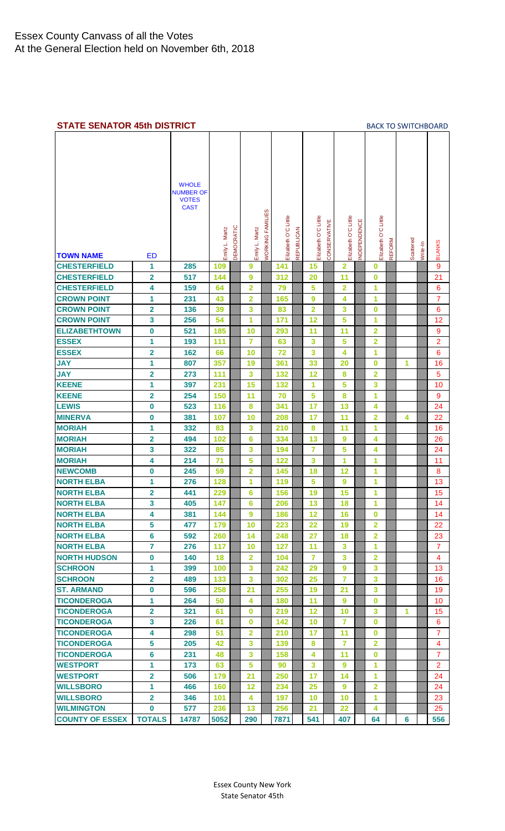<span id="page-6-0"></span>

| <b>STATE SENATOR 45th DISTRICT</b> |                         |                                                                 |                |            |                  |                                |                      |                   |                      |              |                      |            |                         |               | <b>BACK TO SWITCHBOARD</b> |          |                     |
|------------------------------------|-------------------------|-----------------------------------------------------------------|----------------|------------|------------------|--------------------------------|----------------------|-------------------|----------------------|--------------|----------------------|------------|-------------------------|---------------|----------------------------|----------|---------------------|
| <b>TOWN NAME</b>                   | ED                      | <b>WHOLE</b><br><b>NUMBER OF</b><br><b>VOTES</b><br><b>CAST</b> | Emily L. Martz | DEMOCRATIC | Emily L. Martz   | <b><i>NORKING FAMILIES</i></b> | Elizabeth O'C Little | <b>REPUBLICAN</b> | Elizabeth O'C Little | CONSERVATIVE | Elizabeth O'C Little | NDEPENDENC | Elizabeth O'C Little    | <b>REFORM</b> | Scattered                  | Write-In | <b>BLANKS</b>       |
| <b>CHESTERFIELD</b>                | 1                       | 285                                                             | 109            |            | $\boldsymbol{9}$ |                                | 141                  |                   | 15                   |              | $\overline{2}$       |            | $\bf{0}$                |               |                            |          | $\overline{9}$      |
| <b>CHESTERFIELD</b>                | 2                       | 517                                                             | 144            |            | 9                |                                | 312                  |                   | 20                   |              | 11                   |            | $\bf{0}$                |               |                            |          | 21                  |
|                                    |                         |                                                                 |                |            | $\overline{2}$   |                                |                      |                   | 5                    |              | $\overline{2}$       |            | 1                       |               |                            |          |                     |
| <b>CHESTERFIELD</b>                | 4                       | 159                                                             | 64             |            |                  |                                | 79                   |                   |                      |              |                      |            |                         |               |                            |          | 6<br>$\overline{7}$ |
| <b>CROWN POINT</b>                 | 1                       | 231                                                             | 43             |            | 2                |                                | 165                  |                   | $\boldsymbol{9}$     |              | 4                    |            | 1                       |               |                            |          |                     |
| <b>CROWN POINT</b>                 | 2                       | 136                                                             | 39             |            | 3                |                                | 83                   |                   | $\overline{2}$       |              | 3                    |            | 0                       |               |                            |          | 6                   |
| <b>CROWN POINT</b>                 | 3                       | 256                                                             | 54             |            | 1                |                                | 171                  |                   | 12                   |              | 5                    |            | 1                       |               |                            |          | 12                  |
| <b>ELIZABETHTOWN</b>               | 0                       | 521                                                             | 185            |            | 10               |                                | 293                  |                   | 11                   |              | 11                   |            | $\overline{2}$          |               |                            |          | 9                   |
| <b>ESSEX</b>                       | 1                       | 193                                                             | 111            |            | 7                |                                | 63                   |                   | 3                    |              | 5                    |            | $\overline{2}$          |               |                            |          | $\overline{2}$      |
| <b>ESSEX</b>                       | $\overline{\mathbf{2}}$ | 162                                                             | 66             |            | 10               |                                | 72                   |                   | 3                    |              | 4                    |            | 1                       |               |                            |          | 6                   |
| <b>JAY</b>                         | 1                       | 807                                                             | 357            |            | 19               |                                | 361                  |                   | 33                   |              | 20                   |            | $\bf{0}$                |               | 1                          |          | 16                  |
| <b>JAY</b>                         | $\overline{\mathbf{2}}$ | 273                                                             | 111            |            | 3                |                                | 132                  |                   | 12                   |              | 8                    |            | $\overline{2}$          |               |                            |          | 5                   |
| <b>KEENE</b>                       | 1                       | 397                                                             | 231            |            | 15               |                                | 132                  |                   | 1                    |              | 5                    |            | 3                       |               |                            |          | 10                  |
| <b>KEENE</b>                       | 2                       | 254                                                             | 150            |            | 11               |                                | 70                   |                   | 5                    |              | 8                    |            | 1                       |               |                            |          | 9                   |
| <b>LEWIS</b>                       | 0                       | 523                                                             | 116            |            | 8                |                                | 341                  |                   | 17                   |              | 13                   |            | 4                       |               |                            |          | 24                  |
| <b>MINERVA</b>                     | $\bf{0}$                | 381                                                             | 107            |            | 10               |                                | 208                  |                   | 17                   |              | 11                   |            | $\overline{2}$          |               | 4                          |          | 22                  |
| <b>MORIAH</b>                      | 1                       | 332                                                             | 83             |            | 3                |                                | 210                  |                   | 8                    |              | 11                   |            | 1                       |               |                            |          | 16                  |
| <b>MORIAH</b>                      | 2                       | 494                                                             | 102            |            | 6                |                                | 334                  |                   | 13                   |              | 9                    |            | 4                       |               |                            |          | 26                  |
| <b>MORIAH</b>                      | 3                       | 322                                                             | 85             |            | 3                |                                | 194                  |                   | $\overline{7}$       |              | 5                    |            | 4                       |               |                            |          | 24                  |
| <b>MORIAH</b>                      | 4                       | 214                                                             | 71             |            | 5                |                                | 122                  |                   | 3                    |              | 1                    |            | 1                       |               |                            |          | 11                  |
| <b>NEWCOMB</b>                     | 0                       | 245                                                             | 59             |            | 2                |                                | 145                  |                   | 18                   |              | 12                   |            | 1                       |               |                            |          | 8                   |
| <b>NORTH ELBA</b>                  | 1                       | 276                                                             | 128            |            | 1                |                                | 119                  |                   | 5                    |              | 9                    |            | 1                       |               |                            |          | 13                  |
| <b>NORTH ELBA</b>                  | 2                       | 441                                                             | 229            |            | 6                |                                | 156                  |                   | 19                   |              | 15                   |            | 1                       |               |                            |          | 15                  |
| <b>NORTH ELBA</b>                  | 3                       | 405                                                             | 147            |            | $6\phantom{1}$   |                                | 206                  |                   | 13                   |              | 18                   |            | 1                       |               |                            |          | 14                  |
| <b>NORTH ELBA</b>                  | 4                       | 381                                                             | 144            |            | 9                |                                | 186                  |                   | 12                   |              | 16                   |            | $\bf{0}$                |               |                            |          | 14                  |
| <b>NORTH ELBA</b>                  | 5                       | 477                                                             | 179            |            | 10               |                                | 223                  |                   | 22                   |              | 19                   |            | $\overline{2}$          |               |                            |          | 22                  |
| <b>NORTH ELBA</b>                  | $6\phantom{a}$          | 592                                                             | 260            |            | 14               |                                | 248                  |                   | 27                   |              | 18                   |            | $\overline{\mathbf{2}}$ |               |                            |          | 23                  |
| <b>NORTH ELBA</b>                  | $\overline{7}$          | 276                                                             | 117            |            | 10               |                                | 127                  |                   | 11                   |              | 3                    |            | 1                       |               |                            |          | $\overline{7}$      |
| <b>NORTH HUDSON</b>                | $\bf{0}$                | 140                                                             | 18             |            | $\overline{2}$   |                                | 104                  |                   | 7                    |              | 3                    |            | $\overline{\mathbf{2}}$ |               |                            |          | $\overline{4}$      |
| <b>SCHROON</b>                     | 1                       | 399                                                             | 100            |            | $\mathbf{3}$     |                                | 242                  |                   | 29                   |              | 9                    |            | 3                       |               |                            |          | 13                  |
| <b>SCHROON</b>                     | $\overline{\mathbf{2}}$ | 489                                                             | 133            |            | 3                |                                | 302                  |                   | 25                   |              | $\overline{7}$       |            | 3                       |               |                            |          | 16                  |
| <b>ST. ARMAND</b>                  | $\bf{0}$                | 596                                                             | 258            |            | 21               |                                | 255                  |                   | 19                   |              | 21                   |            | 3                       |               |                            |          | 19                  |
| <b>TICONDEROGA</b>                 | 1                       | 264                                                             | 50             |            | 4                |                                | 180                  |                   | 11                   |              | 9                    |            | $\bf{0}$                |               |                            |          | 10                  |
| <b>TICONDEROGA</b>                 | $\overline{\mathbf{2}}$ | 321                                                             | 61             |            | $\bf{0}$         |                                | 219                  |                   | 12                   |              | 10                   |            | 3                       |               | 1                          |          | 15                  |
| <b>TICONDEROGA</b>                 | 3                       | 226                                                             | 61             |            | 0                |                                | 142                  |                   | 10                   |              | 7                    |            | $\bf{0}$                |               |                            |          | 6                   |
| <b>TICONDEROGA</b>                 | 4                       | 298                                                             | 51             |            | $\overline{2}$   |                                | 210                  |                   | 17                   |              | 11                   |            | $\bf{0}$                |               |                            |          | $\overline{7}$      |
| <b>TICONDEROGA</b>                 | 5                       | 205                                                             | 42             |            | 3                |                                | 139                  |                   | 8                    |              | $\overline{7}$       |            | $\overline{2}$          |               |                            |          | 4                   |
| <b>TICONDEROGA</b>                 | $6\phantom{a}$          | 231                                                             | 48             |            | 3                |                                | 158                  |                   | 4                    |              | 11                   |            | $\bf{0}$                |               |                            |          | $\overline{7}$      |
| <b>WESTPORT</b>                    | 1                       | 173                                                             | 63             |            | $5\phantom{1}$   |                                | 90                   |                   | 3                    |              | 9                    |            | 1                       |               |                            |          | $\overline{2}$      |
| <b>WESTPORT</b>                    | 2                       | 506                                                             | 179            |            | 21               |                                | 250                  |                   | 17                   |              | 14                   |            | 1                       |               |                            |          | 24                  |
| <b>WILLSBORO</b>                   | 1                       | 466                                                             | 160            |            | 12               |                                | 234                  |                   | 25                   |              | 9                    |            | $\overline{2}$          |               |                            |          | 24                  |
| <b>WILLSBORO</b>                   | $\overline{\mathbf{2}}$ | 346                                                             | 101            |            | 4                |                                | 197                  |                   | 10                   |              | 10                   |            | 1                       |               |                            |          | 23                  |
| <b>WILMINGTON</b>                  | $\bf{0}$                | 577                                                             | 236            |            | 13               |                                | 256                  |                   | 21                   |              | 22                   |            | 4                       |               |                            |          | 25                  |
| <b>COUNTY OF ESSEX</b>             | <b>TOTALS</b>           | 14787                                                           | 5052           |            | 290              |                                | 7871                 |                   | 541                  |              | 407                  |            | 64                      |               | 6                          |          | 556                 |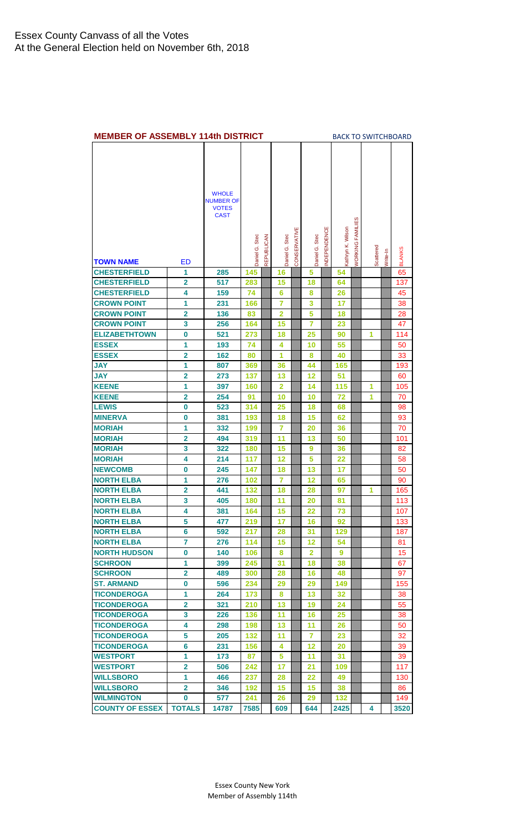<span id="page-7-0"></span>

| <b>MEMBER OF ASSEMBLY 114th DISTRICT</b> |                         |                                                                 |                |            |                          |              |                |             |                   |                            |           |          | <b>BACK TO SWITCHBOARD</b> |
|------------------------------------------|-------------------------|-----------------------------------------------------------------|----------------|------------|--------------------------|--------------|----------------|-------------|-------------------|----------------------------|-----------|----------|----------------------------|
|                                          |                         | <b>WHOLE</b><br><b>NUMBER OF</b><br><b>VOTES</b><br><b>CAST</b> |                |            |                          |              |                |             |                   |                            |           |          |                            |
|                                          |                         |                                                                 | Daniel G. Stec | REPUBLICAN | <b>Stec</b><br>Daniel G. | CONSERVATIVE | Daniel G. Stec | NDEPENDENCE | Kathryn K. Wilson | ES<br><b>VORKING FAMIL</b> | Scattered | Write-In | <b>BLANKS</b>              |
| <b>TOWN NAME</b>                         | <b>ED</b>               |                                                                 |                |            |                          |              |                |             |                   |                            |           |          |                            |
| <b>CHESTERFIELD</b>                      | 1                       | 285                                                             | 145            |            | 16                       |              | 5              |             | 54                |                            |           |          | 65                         |
| <b>CHESTERFIELD</b>                      | $\overline{2}$          | 517                                                             | 283            |            | 15                       |              | 18             |             | 64                |                            |           |          | 137                        |
| <b>CHESTERFIELD</b>                      | 4                       | 159                                                             | 74             |            | 6                        |              | 8              |             | 26                |                            |           |          | 45                         |
| <b>CROWN POINT</b>                       | 1                       | 231                                                             | 166            |            | $\overline{7}$           |              | 3              |             | 17                |                            |           |          | 38                         |
| <b>CROWN POINT</b>                       | $\mathbf 2$             | 136                                                             | 83             |            | $\overline{2}$           |              | 5              |             | 18                |                            |           |          | 28                         |
| <b>CROWN POINT</b>                       | 3                       | 256                                                             | 164            |            | 15                       |              | 7              |             | 23                |                            |           |          | 47                         |
| <b>ELIZABETHTOWN</b>                     | $\bf{0}$                | 521                                                             | 273            |            | 18                       |              | 25             |             | 90                |                            | 1         |          | 114                        |
| <b>ESSEX</b>                             | 1                       | 193                                                             | 74             |            | 4                        |              | 10             |             | 55                |                            |           |          | 50                         |
| <b>ESSEX</b>                             | $\overline{\mathbf{2}}$ | 162                                                             | 80             |            | 1                        |              | 8              |             | 40                |                            |           |          | 33                         |
| <b>JAY</b>                               | 1                       | 807                                                             | 369            |            | 36                       |              | 44             |             | 165               |                            |           |          | 193                        |
| <b>JAY</b>                               | $\overline{\mathbf{2}}$ | 273                                                             | 137            |            | 13                       |              | 12             |             | 51                |                            |           |          | 60                         |
| <b>KEENE</b>                             | 1                       | 397                                                             | 160            |            | $\overline{2}$           |              | 14             |             | 115               |                            | 1         |          | 105                        |
| <b>KEENE</b>                             | $\overline{2}$          | 254                                                             | 91             |            | 10                       |              | 10             |             | 72                |                            | 1         |          | 70                         |
| <b>LEWIS</b>                             | 0                       | 523                                                             | 314            |            | 25                       |              | 18             |             | 68                |                            |           |          | 98                         |
| <b>MINERVA</b>                           | 0                       | 381                                                             | 193            |            | 18                       |              | 15             |             | 62                |                            |           |          | 93                         |
| <b>MORIAH</b>                            | 1                       | 332                                                             | 199            |            | 7                        |              | 20             |             | 36                |                            |           |          | 70                         |
| <b>MORIAH</b>                            | $\overline{\mathbf{2}}$ | 494                                                             | 319            |            | 11                       |              | 13             |             | 50                |                            |           |          | 101                        |
| <b>MORIAH</b>                            | 3                       | 322                                                             | 180            |            | 15                       |              | 9              |             | 36                |                            |           |          | 82                         |
| <b>MORIAH</b>                            | 4                       | 214                                                             | 117            |            | 12                       |              | 5              |             | 22                |                            |           |          | 58                         |
| <b>NEWCOMB</b>                           | $\bf{0}$                | 245                                                             | 147            |            | 18                       |              | 13             |             | 17                |                            |           |          | 50                         |
| <b>NORTH ELBA</b>                        | 1                       | 276                                                             | 102            |            | 7                        |              | 12             |             | 65                |                            |           |          | 90                         |
| <b>NORTH ELBA</b>                        | $\overline{2}$          | 441                                                             | 132            |            | 18                       |              | 28             |             | 97                |                            | 1         |          | 165                        |
| <b>NORTH ELBA</b>                        | 3                       | 405                                                             | 180            |            | 11                       |              | 20             |             | 81                |                            |           |          | 113                        |
| <b>NORTH ELBA</b>                        | 4                       | 381                                                             | 164            |            | 15                       |              | 22             |             | 73                |                            |           |          | 107                        |
| <b>NORTH ELBA</b>                        | 5                       | 477                                                             | 219            |            | 17                       |              | 16             |             | 92                |                            |           |          | 133                        |
| <b>NORTH ELBA</b>                        | 6                       | 592                                                             | 217            |            | 28                       |              | 31             |             | 129               |                            |           |          | 187                        |
| <b>NORTH ELBA</b>                        | 7                       | 276                                                             | 114            |            | 15                       |              | 12             |             | 54                |                            |           |          | 81                         |
| <b>NORTH HUDSON</b>                      | 0                       | 140                                                             | 106            |            | 8                        |              | $\mathbf{2}$   |             | 9                 |                            |           |          | 15                         |
| <b>SCHROON</b>                           | 1                       | 399                                                             | 245            |            | 31                       |              | 18             |             | 38                |                            |           |          | 67                         |
| <b>SCHROON</b>                           | $\overline{\mathbf{2}}$ | 489                                                             | 300            |            | 28                       |              | 16             |             | 48                |                            |           |          | 97                         |
| <b>ST. ARMAND</b>                        | 0                       | 596                                                             | 234            |            | 29                       |              | 29             |             | 149               |                            |           |          | 155                        |
| <b>TICONDEROGA</b>                       | 1                       | 264                                                             | 173            |            | 8                        |              | 13             |             | 32                |                            |           |          | 38                         |
| <b>TICONDEROGA</b>                       | $\overline{2}$          | 321                                                             | 210            |            | 13                       |              | 19             |             | 24                |                            |           |          | 55                         |
| <b>TICONDEROGA</b>                       | 3                       | 226                                                             | 136            |            | 11                       |              | 16             |             | 25                |                            |           |          | 38                         |
| <b>TICONDEROGA</b>                       | 4                       | 298                                                             | 198            |            | 13                       |              | 11             |             | 26                |                            |           |          | 50                         |
| <b>TICONDEROGA</b>                       | 5                       | 205                                                             | 132            |            | 11                       |              | 7              |             | 23                |                            |           |          | 32                         |
| <b>TICONDEROGA</b>                       | $6\phantom{1}6$         | 231                                                             | 156            |            | 4                        |              | 12             |             | 20                |                            |           |          | 39                         |
| <b>WESTPORT</b>                          | 1                       | 173                                                             | 87             |            | 5                        |              | 11             |             | 31                |                            |           |          | 39                         |
| <b>WESTPORT</b>                          | $\overline{\mathbf{2}}$ | 506                                                             | 242            |            | 17                       |              | 21             |             | 109               |                            |           |          | 117                        |
| <b>WILLSBORO</b>                         | 1                       | 466                                                             | 237            |            | 28                       |              | 22             |             | 49                |                            |           |          | 130                        |
| <b>WILLSBORO</b>                         | $\mathbf{2}$            | 346                                                             | 192            |            | 15                       |              | 15             |             | 38                |                            |           |          | 86                         |
| <b>WILMINGTON</b>                        | 0                       | 577                                                             | 241            |            | 26                       |              | 29             |             | 132               |                            |           |          | 149                        |
| <b>COUNTY OF ESSEX</b>                   | <b>TOTALS</b>           | 14787                                                           | 7585           |            | 609                      |              | 644            |             | 2425              |                            | 4         |          | 3520                       |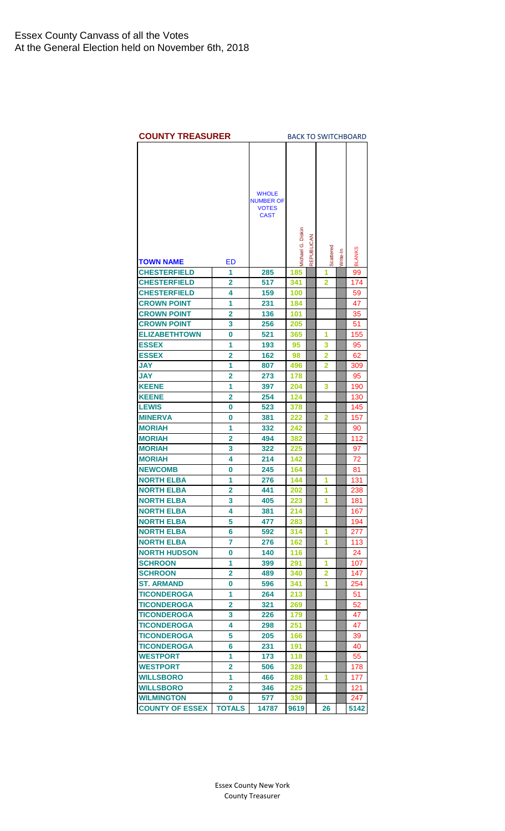<span id="page-8-0"></span>

| <b>COUNTY TREASURER</b>                    |                         |                             |                   |            |           |          | <b>BACK TO SWITCHBOARD</b> |
|--------------------------------------------|-------------------------|-----------------------------|-------------------|------------|-----------|----------|----------------------------|
|                                            |                         |                             |                   |            |           |          |                            |
|                                            |                         |                             |                   |            |           |          |                            |
|                                            |                         |                             |                   |            |           |          |                            |
|                                            |                         | <b>WHOLE</b>                |                   |            |           |          |                            |
|                                            |                         | <b>NUMBER OF</b>            |                   |            |           |          |                            |
|                                            |                         | <b>VOTES</b><br><b>CAST</b> |                   |            |           |          |                            |
|                                            |                         |                             |                   |            |           |          |                            |
|                                            |                         |                             |                   |            |           |          |                            |
|                                            |                         |                             |                   |            |           |          |                            |
|                                            |                         |                             | Michael G. Diskin | REPUBLICAN | Scattered | Write-In | <b>BLANKS</b>              |
| <b>TOWN NAME</b>                           | ED                      |                             |                   |            |           |          |                            |
| <b>CHESTERFIELD</b>                        | 1                       | 285                         | 185               |            | 1         |          | 99                         |
| <b>CHESTERFIELD</b><br><b>CHESTERFIELD</b> | 2<br>4                  | 517<br>159                  | 341               |            | 2         |          | 174                        |
|                                            |                         |                             | 100<br>184        |            |           |          | 59                         |
| <b>CROWN POINT</b>                         | 1                       | 231                         |                   |            |           |          | 47                         |
| <b>CROWN POINT</b><br><b>CROWN POINT</b>   | 2<br>3                  | 136<br>256                  | 101               |            |           |          | 35                         |
| <b>ELIZABETHTOWN</b>                       | 0                       | 521                         | 205<br>365        |            | 1         |          | 51<br>155                  |
| <b>ESSEX</b>                               | 1                       | 193                         | 95                |            | 3         |          | 95                         |
| <b>ESSEX</b>                               | $\overline{\mathbf{2}}$ | 162                         | 98                |            | 2         |          | 62                         |
| <b>JAY</b>                                 | 1                       | 807                         | 496               |            | 2         |          | 309                        |
| <b>JAY</b>                                 | $\overline{2}$          | 273                         | 178               |            |           |          | 95                         |
| <b>KEENE</b>                               | 1                       | 397                         | 204               |            | 3         |          | 190                        |
| <b>KEENE</b>                               | $\overline{2}$          | 254                         | 124               |            |           |          | 130                        |
| <b>LEWIS</b>                               | 0                       | 523                         | 378               |            |           |          | 145                        |
| <b>MINERVA</b>                             | 0                       | 381                         | 222               |            | 2         |          | 157                        |
| <b>MORIAH</b>                              | 1                       | 332                         | 242               |            |           |          | 90                         |
| <b>MORIAH</b>                              | $\overline{2}$          | 494                         | 382               |            |           |          | 112                        |
| <b>MORIAH</b>                              | 3                       | 322                         | 225               |            |           |          | 97                         |
| <b>MORIAH</b>                              | 4                       | 214                         | 142               |            |           |          | 72                         |
| <b>NEWCOMB</b>                             | 0                       | 245                         | 164               |            |           |          | 81                         |
| <b>NORTH ELBA</b>                          | 1                       | 276                         | 144               |            | 1         |          | 131                        |
| <b>NORTH ELBA</b>                          | $\overline{2}$          | 441                         | 202               |            | 1         |          | 238                        |
| <b>NORTH ELBA</b>                          | 3                       | 405                         | 223               |            | 1         |          | 181                        |
| <b>NORTH ELBA</b>                          | 4                       | 381                         | 214               |            |           |          | 167                        |
| <b>NORTH ELBA</b>                          | 5                       | 477                         | 283               |            |           |          | 194                        |
| <b>NORTH ELBA</b>                          | 6                       | 592                         | 314               |            | 1         |          | 277                        |
| <b>NORTH ELBA</b>                          | 7                       | 276                         | 162               |            | 1         |          | 113                        |
| <b>NORTH HUDSON</b>                        | 0                       | 140                         | 116               |            |           |          | 24                         |
| <b>SCHROON</b>                             | 1                       | 399                         | 291               |            | 1         |          | 107                        |
| <b>SCHROON</b>                             | 2                       | 489                         | 340               |            | 2         |          | 147                        |
| <b>ST. ARMAND</b>                          | 0                       | 596                         | 341               |            | 1         |          | 254                        |
| <b>TICONDEROGA</b>                         | 1                       | 264                         | 213               |            |           |          | 51                         |
| TICONDEROGA                                | 2                       | 321                         | 269               |            |           |          | 52                         |
| TICONDEROGA                                | 3                       | 226                         | 179               |            |           |          | 47                         |
| <b>TICONDEROGA</b>                         | 4                       | 298                         | 251               |            |           |          | 47                         |
| <b>TICONDEROGA</b>                         | 5                       | 205                         | 166               |            |           |          | 39                         |
| <b>TICONDEROGA</b>                         | 6                       | 231                         | 191               |            |           |          | 40                         |
| <b>WESTPORT</b>                            | 1                       | 173                         | 118               |            |           |          | 55                         |
| <b>WESTPORT</b>                            | 2                       | 506                         | 328               |            |           |          | 178                        |
| <b>WILLSBORO</b>                           | 1                       | 466                         | 288               |            | 1         |          | 177                        |
| <b>WILLSBORO</b>                           | 2                       | 346                         | 225               |            |           |          | 121                        |
| <b>WILMINGTON</b>                          | 0                       | 577                         | 330               |            |           |          | 247                        |
| <b>COUNTY OF ESSEX</b>                     | <b>TOTALS</b>           | 14787                       | 9619              |            | 26        |          | 5142                       |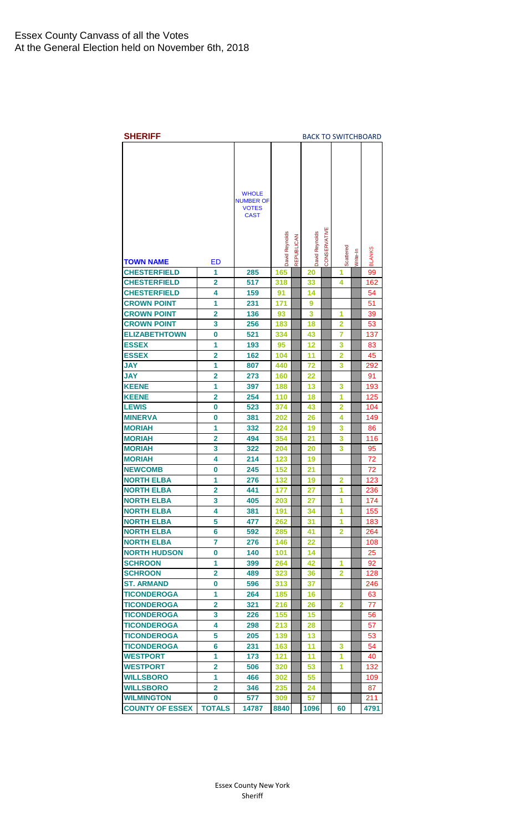<span id="page-9-0"></span>

| <b>WHOLE</b><br><b>NUMBER OF</b><br><b>VOTES</b><br><b>CAST</b><br>CONSERVATIVE<br>David Reynolds<br><b>David Reynolds</b><br>REPUBLICAN<br>Scattered<br><b>BLANKS</b><br>Nrite-In<br>ED<br>TOWN NAME<br><b>CHESTERFIELD</b><br>1<br>285<br>165<br>20<br>1<br>99<br><b>CHESTERFIELD</b><br>517<br>2<br>318<br>33<br>162<br>4<br><b>CHESTERFIELD</b><br>4<br>159<br>91<br>54<br>14<br>1<br><b>CROWN POINT</b><br>231<br>171<br>9<br>51<br>$\overline{2}$<br><b>CROWN POINT</b><br>136<br>3<br>93<br>1<br>39<br><b>CROWN POINT</b><br>3<br>256<br>183<br>18<br>2<br>53<br><b>ELIZABETHTOWN</b><br>$\bf{0}$<br>521<br>334<br>43<br>7<br>137<br><b>ESSEX</b><br>1<br>193<br>95<br>12<br>3<br>83<br><b>ESSEX</b><br>$\overline{2}$<br>162<br>104<br>11<br>$\overline{2}$<br>45<br><b>JAY</b><br>1<br>807<br>440<br>72<br>3<br>292<br><b>JAY</b><br>$\overline{2}$<br>273<br>160<br>22<br>91<br><b>KEENE</b><br>1<br>397<br>188<br>13<br>3<br>193<br><b>KEENE</b><br>$\overline{2}$<br>254<br>110<br>1<br>125<br>18<br><b>LEWIS</b><br>523<br>374<br>$\overline{2}$<br>0<br>43<br>104<br><b>MINERVA</b><br>381<br>0<br>202<br>26<br>4<br>149<br><b>MORIAH</b><br>1<br>332<br>224<br>3<br>19<br>86<br><b>MORIAH</b><br>$\overline{2}$<br>494<br>354<br>21<br>3<br>116<br><b>MORIAH</b><br>3<br>322<br>204<br>20<br>3<br>95<br><b>MORIAH</b><br>4<br>214<br>123<br>19<br>72<br><b>NEWCOMB</b><br>0<br>245<br>152<br>21<br>72<br><b>NORTH ELBA</b><br>1<br>276<br>132<br>2<br>123<br>19<br><b>NORTH ELBA</b><br>2<br>441<br>177<br>27<br>236<br>1<br>3<br>27<br>174<br><b>NORTH ELBA</b><br>203<br>1<br>405<br>4<br>191<br>34<br>1<br><b>NORTH ELBA</b><br>381<br>155<br>5<br><b>NORTH ELBA</b><br>477<br>262<br>31<br>1<br>183<br>6<br>$\overline{2}$<br><b>NORTH ELBA</b><br>592<br>285<br>41<br>264<br>$\overline{7}$<br><b>NORTH ELBA</b><br>276<br>146<br>22<br>108<br><b>NORTH HUDSON</b><br>0<br>140<br>101<br>14<br>25<br><b>SCHROON</b><br>1<br>399<br>264<br>42<br>1<br>92<br><b>SCHROON</b><br>$\overline{2}$<br>489<br>323<br>$\mathbf{2}$<br>36<br>128<br><b>ST. ARMAND</b><br>596<br>0<br>313<br>37<br>246<br>1<br><b>TICONDEROGA</b><br>264<br>185<br>16<br>63<br><b>TICONDEROGA</b><br>$\overline{\mathbf{2}}$<br>321<br>216<br>$\mathbf{2}$<br>26<br>77<br>3<br><b>TICONDEROGA</b><br>226<br>155<br>15<br>56<br>4<br><b>TICONDEROGA</b><br>298<br>213<br>28<br>57<br>5<br><b>TICONDEROGA</b><br>205<br>13<br>139<br>53<br>6<br><b>TICONDEROGA</b><br>231<br>11<br>54<br>163<br>3<br><b>WESTPORT</b><br>1<br>173<br>121<br>11<br>1<br>40 | <b>SHERIFF</b>  |   |     |     |    |   | <b>BACK TO SWITCHBOARD</b> |
|-------------------------------------------------------------------------------------------------------------------------------------------------------------------------------------------------------------------------------------------------------------------------------------------------------------------------------------------------------------------------------------------------------------------------------------------------------------------------------------------------------------------------------------------------------------------------------------------------------------------------------------------------------------------------------------------------------------------------------------------------------------------------------------------------------------------------------------------------------------------------------------------------------------------------------------------------------------------------------------------------------------------------------------------------------------------------------------------------------------------------------------------------------------------------------------------------------------------------------------------------------------------------------------------------------------------------------------------------------------------------------------------------------------------------------------------------------------------------------------------------------------------------------------------------------------------------------------------------------------------------------------------------------------------------------------------------------------------------------------------------------------------------------------------------------------------------------------------------------------------------------------------------------------------------------------------------------------------------------------------------------------------------------------------------------------------------------------------------------------------------------------------------------------------------------------------------------------------------------------------------------------------------------------------------------------------------------------------------------------------------------------------------------------------------------------------------------------------------------------------------------------------------------------------------|-----------------|---|-----|-----|----|---|----------------------------|
|                                                                                                                                                                                                                                                                                                                                                                                                                                                                                                                                                                                                                                                                                                                                                                                                                                                                                                                                                                                                                                                                                                                                                                                                                                                                                                                                                                                                                                                                                                                                                                                                                                                                                                                                                                                                                                                                                                                                                                                                                                                                                                                                                                                                                                                                                                                                                                                                                                                                                                                                                 |                 |   |     |     |    |   |                            |
|                                                                                                                                                                                                                                                                                                                                                                                                                                                                                                                                                                                                                                                                                                                                                                                                                                                                                                                                                                                                                                                                                                                                                                                                                                                                                                                                                                                                                                                                                                                                                                                                                                                                                                                                                                                                                                                                                                                                                                                                                                                                                                                                                                                                                                                                                                                                                                                                                                                                                                                                                 |                 |   |     |     |    |   |                            |
|                                                                                                                                                                                                                                                                                                                                                                                                                                                                                                                                                                                                                                                                                                                                                                                                                                                                                                                                                                                                                                                                                                                                                                                                                                                                                                                                                                                                                                                                                                                                                                                                                                                                                                                                                                                                                                                                                                                                                                                                                                                                                                                                                                                                                                                                                                                                                                                                                                                                                                                                                 |                 |   |     |     |    |   |                            |
|                                                                                                                                                                                                                                                                                                                                                                                                                                                                                                                                                                                                                                                                                                                                                                                                                                                                                                                                                                                                                                                                                                                                                                                                                                                                                                                                                                                                                                                                                                                                                                                                                                                                                                                                                                                                                                                                                                                                                                                                                                                                                                                                                                                                                                                                                                                                                                                                                                                                                                                                                 |                 |   |     |     |    |   |                            |
|                                                                                                                                                                                                                                                                                                                                                                                                                                                                                                                                                                                                                                                                                                                                                                                                                                                                                                                                                                                                                                                                                                                                                                                                                                                                                                                                                                                                                                                                                                                                                                                                                                                                                                                                                                                                                                                                                                                                                                                                                                                                                                                                                                                                                                                                                                                                                                                                                                                                                                                                                 |                 |   |     |     |    |   |                            |
|                                                                                                                                                                                                                                                                                                                                                                                                                                                                                                                                                                                                                                                                                                                                                                                                                                                                                                                                                                                                                                                                                                                                                                                                                                                                                                                                                                                                                                                                                                                                                                                                                                                                                                                                                                                                                                                                                                                                                                                                                                                                                                                                                                                                                                                                                                                                                                                                                                                                                                                                                 |                 |   |     |     |    |   |                            |
|                                                                                                                                                                                                                                                                                                                                                                                                                                                                                                                                                                                                                                                                                                                                                                                                                                                                                                                                                                                                                                                                                                                                                                                                                                                                                                                                                                                                                                                                                                                                                                                                                                                                                                                                                                                                                                                                                                                                                                                                                                                                                                                                                                                                                                                                                                                                                                                                                                                                                                                                                 |                 |   |     |     |    |   |                            |
|                                                                                                                                                                                                                                                                                                                                                                                                                                                                                                                                                                                                                                                                                                                                                                                                                                                                                                                                                                                                                                                                                                                                                                                                                                                                                                                                                                                                                                                                                                                                                                                                                                                                                                                                                                                                                                                                                                                                                                                                                                                                                                                                                                                                                                                                                                                                                                                                                                                                                                                                                 |                 |   |     |     |    |   |                            |
|                                                                                                                                                                                                                                                                                                                                                                                                                                                                                                                                                                                                                                                                                                                                                                                                                                                                                                                                                                                                                                                                                                                                                                                                                                                                                                                                                                                                                                                                                                                                                                                                                                                                                                                                                                                                                                                                                                                                                                                                                                                                                                                                                                                                                                                                                                                                                                                                                                                                                                                                                 |                 |   |     |     |    |   |                            |
|                                                                                                                                                                                                                                                                                                                                                                                                                                                                                                                                                                                                                                                                                                                                                                                                                                                                                                                                                                                                                                                                                                                                                                                                                                                                                                                                                                                                                                                                                                                                                                                                                                                                                                                                                                                                                                                                                                                                                                                                                                                                                                                                                                                                                                                                                                                                                                                                                                                                                                                                                 |                 |   |     |     |    |   |                            |
|                                                                                                                                                                                                                                                                                                                                                                                                                                                                                                                                                                                                                                                                                                                                                                                                                                                                                                                                                                                                                                                                                                                                                                                                                                                                                                                                                                                                                                                                                                                                                                                                                                                                                                                                                                                                                                                                                                                                                                                                                                                                                                                                                                                                                                                                                                                                                                                                                                                                                                                                                 |                 |   |     |     |    |   |                            |
|                                                                                                                                                                                                                                                                                                                                                                                                                                                                                                                                                                                                                                                                                                                                                                                                                                                                                                                                                                                                                                                                                                                                                                                                                                                                                                                                                                                                                                                                                                                                                                                                                                                                                                                                                                                                                                                                                                                                                                                                                                                                                                                                                                                                                                                                                                                                                                                                                                                                                                                                                 |                 |   |     |     |    |   |                            |
|                                                                                                                                                                                                                                                                                                                                                                                                                                                                                                                                                                                                                                                                                                                                                                                                                                                                                                                                                                                                                                                                                                                                                                                                                                                                                                                                                                                                                                                                                                                                                                                                                                                                                                                                                                                                                                                                                                                                                                                                                                                                                                                                                                                                                                                                                                                                                                                                                                                                                                                                                 |                 |   |     |     |    |   |                            |
|                                                                                                                                                                                                                                                                                                                                                                                                                                                                                                                                                                                                                                                                                                                                                                                                                                                                                                                                                                                                                                                                                                                                                                                                                                                                                                                                                                                                                                                                                                                                                                                                                                                                                                                                                                                                                                                                                                                                                                                                                                                                                                                                                                                                                                                                                                                                                                                                                                                                                                                                                 |                 |   |     |     |    |   |                            |
|                                                                                                                                                                                                                                                                                                                                                                                                                                                                                                                                                                                                                                                                                                                                                                                                                                                                                                                                                                                                                                                                                                                                                                                                                                                                                                                                                                                                                                                                                                                                                                                                                                                                                                                                                                                                                                                                                                                                                                                                                                                                                                                                                                                                                                                                                                                                                                                                                                                                                                                                                 |                 |   |     |     |    |   |                            |
|                                                                                                                                                                                                                                                                                                                                                                                                                                                                                                                                                                                                                                                                                                                                                                                                                                                                                                                                                                                                                                                                                                                                                                                                                                                                                                                                                                                                                                                                                                                                                                                                                                                                                                                                                                                                                                                                                                                                                                                                                                                                                                                                                                                                                                                                                                                                                                                                                                                                                                                                                 |                 |   |     |     |    |   |                            |
|                                                                                                                                                                                                                                                                                                                                                                                                                                                                                                                                                                                                                                                                                                                                                                                                                                                                                                                                                                                                                                                                                                                                                                                                                                                                                                                                                                                                                                                                                                                                                                                                                                                                                                                                                                                                                                                                                                                                                                                                                                                                                                                                                                                                                                                                                                                                                                                                                                                                                                                                                 |                 |   |     |     |    |   |                            |
|                                                                                                                                                                                                                                                                                                                                                                                                                                                                                                                                                                                                                                                                                                                                                                                                                                                                                                                                                                                                                                                                                                                                                                                                                                                                                                                                                                                                                                                                                                                                                                                                                                                                                                                                                                                                                                                                                                                                                                                                                                                                                                                                                                                                                                                                                                                                                                                                                                                                                                                                                 |                 |   |     |     |    |   |                            |
|                                                                                                                                                                                                                                                                                                                                                                                                                                                                                                                                                                                                                                                                                                                                                                                                                                                                                                                                                                                                                                                                                                                                                                                                                                                                                                                                                                                                                                                                                                                                                                                                                                                                                                                                                                                                                                                                                                                                                                                                                                                                                                                                                                                                                                                                                                                                                                                                                                                                                                                                                 |                 |   |     |     |    |   |                            |
|                                                                                                                                                                                                                                                                                                                                                                                                                                                                                                                                                                                                                                                                                                                                                                                                                                                                                                                                                                                                                                                                                                                                                                                                                                                                                                                                                                                                                                                                                                                                                                                                                                                                                                                                                                                                                                                                                                                                                                                                                                                                                                                                                                                                                                                                                                                                                                                                                                                                                                                                                 |                 |   |     |     |    |   |                            |
|                                                                                                                                                                                                                                                                                                                                                                                                                                                                                                                                                                                                                                                                                                                                                                                                                                                                                                                                                                                                                                                                                                                                                                                                                                                                                                                                                                                                                                                                                                                                                                                                                                                                                                                                                                                                                                                                                                                                                                                                                                                                                                                                                                                                                                                                                                                                                                                                                                                                                                                                                 |                 |   |     |     |    |   |                            |
|                                                                                                                                                                                                                                                                                                                                                                                                                                                                                                                                                                                                                                                                                                                                                                                                                                                                                                                                                                                                                                                                                                                                                                                                                                                                                                                                                                                                                                                                                                                                                                                                                                                                                                                                                                                                                                                                                                                                                                                                                                                                                                                                                                                                                                                                                                                                                                                                                                                                                                                                                 |                 |   |     |     |    |   |                            |
|                                                                                                                                                                                                                                                                                                                                                                                                                                                                                                                                                                                                                                                                                                                                                                                                                                                                                                                                                                                                                                                                                                                                                                                                                                                                                                                                                                                                                                                                                                                                                                                                                                                                                                                                                                                                                                                                                                                                                                                                                                                                                                                                                                                                                                                                                                                                                                                                                                                                                                                                                 |                 |   |     |     |    |   |                            |
|                                                                                                                                                                                                                                                                                                                                                                                                                                                                                                                                                                                                                                                                                                                                                                                                                                                                                                                                                                                                                                                                                                                                                                                                                                                                                                                                                                                                                                                                                                                                                                                                                                                                                                                                                                                                                                                                                                                                                                                                                                                                                                                                                                                                                                                                                                                                                                                                                                                                                                                                                 |                 |   |     |     |    |   |                            |
|                                                                                                                                                                                                                                                                                                                                                                                                                                                                                                                                                                                                                                                                                                                                                                                                                                                                                                                                                                                                                                                                                                                                                                                                                                                                                                                                                                                                                                                                                                                                                                                                                                                                                                                                                                                                                                                                                                                                                                                                                                                                                                                                                                                                                                                                                                                                                                                                                                                                                                                                                 |                 |   |     |     |    |   |                            |
|                                                                                                                                                                                                                                                                                                                                                                                                                                                                                                                                                                                                                                                                                                                                                                                                                                                                                                                                                                                                                                                                                                                                                                                                                                                                                                                                                                                                                                                                                                                                                                                                                                                                                                                                                                                                                                                                                                                                                                                                                                                                                                                                                                                                                                                                                                                                                                                                                                                                                                                                                 |                 |   |     |     |    |   |                            |
|                                                                                                                                                                                                                                                                                                                                                                                                                                                                                                                                                                                                                                                                                                                                                                                                                                                                                                                                                                                                                                                                                                                                                                                                                                                                                                                                                                                                                                                                                                                                                                                                                                                                                                                                                                                                                                                                                                                                                                                                                                                                                                                                                                                                                                                                                                                                                                                                                                                                                                                                                 |                 |   |     |     |    |   |                            |
|                                                                                                                                                                                                                                                                                                                                                                                                                                                                                                                                                                                                                                                                                                                                                                                                                                                                                                                                                                                                                                                                                                                                                                                                                                                                                                                                                                                                                                                                                                                                                                                                                                                                                                                                                                                                                                                                                                                                                                                                                                                                                                                                                                                                                                                                                                                                                                                                                                                                                                                                                 |                 |   |     |     |    |   |                            |
|                                                                                                                                                                                                                                                                                                                                                                                                                                                                                                                                                                                                                                                                                                                                                                                                                                                                                                                                                                                                                                                                                                                                                                                                                                                                                                                                                                                                                                                                                                                                                                                                                                                                                                                                                                                                                                                                                                                                                                                                                                                                                                                                                                                                                                                                                                                                                                                                                                                                                                                                                 |                 |   |     |     |    |   |                            |
|                                                                                                                                                                                                                                                                                                                                                                                                                                                                                                                                                                                                                                                                                                                                                                                                                                                                                                                                                                                                                                                                                                                                                                                                                                                                                                                                                                                                                                                                                                                                                                                                                                                                                                                                                                                                                                                                                                                                                                                                                                                                                                                                                                                                                                                                                                                                                                                                                                                                                                                                                 |                 |   |     |     |    |   |                            |
|                                                                                                                                                                                                                                                                                                                                                                                                                                                                                                                                                                                                                                                                                                                                                                                                                                                                                                                                                                                                                                                                                                                                                                                                                                                                                                                                                                                                                                                                                                                                                                                                                                                                                                                                                                                                                                                                                                                                                                                                                                                                                                                                                                                                                                                                                                                                                                                                                                                                                                                                                 |                 |   |     |     |    |   |                            |
|                                                                                                                                                                                                                                                                                                                                                                                                                                                                                                                                                                                                                                                                                                                                                                                                                                                                                                                                                                                                                                                                                                                                                                                                                                                                                                                                                                                                                                                                                                                                                                                                                                                                                                                                                                                                                                                                                                                                                                                                                                                                                                                                                                                                                                                                                                                                                                                                                                                                                                                                                 |                 |   |     |     |    |   |                            |
|                                                                                                                                                                                                                                                                                                                                                                                                                                                                                                                                                                                                                                                                                                                                                                                                                                                                                                                                                                                                                                                                                                                                                                                                                                                                                                                                                                                                                                                                                                                                                                                                                                                                                                                                                                                                                                                                                                                                                                                                                                                                                                                                                                                                                                                                                                                                                                                                                                                                                                                                                 |                 |   |     |     |    |   |                            |
|                                                                                                                                                                                                                                                                                                                                                                                                                                                                                                                                                                                                                                                                                                                                                                                                                                                                                                                                                                                                                                                                                                                                                                                                                                                                                                                                                                                                                                                                                                                                                                                                                                                                                                                                                                                                                                                                                                                                                                                                                                                                                                                                                                                                                                                                                                                                                                                                                                                                                                                                                 |                 |   |     |     |    |   |                            |
|                                                                                                                                                                                                                                                                                                                                                                                                                                                                                                                                                                                                                                                                                                                                                                                                                                                                                                                                                                                                                                                                                                                                                                                                                                                                                                                                                                                                                                                                                                                                                                                                                                                                                                                                                                                                                                                                                                                                                                                                                                                                                                                                                                                                                                                                                                                                                                                                                                                                                                                                                 |                 |   |     |     |    |   |                            |
|                                                                                                                                                                                                                                                                                                                                                                                                                                                                                                                                                                                                                                                                                                                                                                                                                                                                                                                                                                                                                                                                                                                                                                                                                                                                                                                                                                                                                                                                                                                                                                                                                                                                                                                                                                                                                                                                                                                                                                                                                                                                                                                                                                                                                                                                                                                                                                                                                                                                                                                                                 |                 |   |     |     |    |   |                            |
|                                                                                                                                                                                                                                                                                                                                                                                                                                                                                                                                                                                                                                                                                                                                                                                                                                                                                                                                                                                                                                                                                                                                                                                                                                                                                                                                                                                                                                                                                                                                                                                                                                                                                                                                                                                                                                                                                                                                                                                                                                                                                                                                                                                                                                                                                                                                                                                                                                                                                                                                                 |                 |   |     |     |    |   |                            |
|                                                                                                                                                                                                                                                                                                                                                                                                                                                                                                                                                                                                                                                                                                                                                                                                                                                                                                                                                                                                                                                                                                                                                                                                                                                                                                                                                                                                                                                                                                                                                                                                                                                                                                                                                                                                                                                                                                                                                                                                                                                                                                                                                                                                                                                                                                                                                                                                                                                                                                                                                 |                 |   |     |     |    |   |                            |
|                                                                                                                                                                                                                                                                                                                                                                                                                                                                                                                                                                                                                                                                                                                                                                                                                                                                                                                                                                                                                                                                                                                                                                                                                                                                                                                                                                                                                                                                                                                                                                                                                                                                                                                                                                                                                                                                                                                                                                                                                                                                                                                                                                                                                                                                                                                                                                                                                                                                                                                                                 |                 |   |     |     |    |   |                            |
|                                                                                                                                                                                                                                                                                                                                                                                                                                                                                                                                                                                                                                                                                                                                                                                                                                                                                                                                                                                                                                                                                                                                                                                                                                                                                                                                                                                                                                                                                                                                                                                                                                                                                                                                                                                                                                                                                                                                                                                                                                                                                                                                                                                                                                                                                                                                                                                                                                                                                                                                                 |                 |   |     |     |    |   |                            |
|                                                                                                                                                                                                                                                                                                                                                                                                                                                                                                                                                                                                                                                                                                                                                                                                                                                                                                                                                                                                                                                                                                                                                                                                                                                                                                                                                                                                                                                                                                                                                                                                                                                                                                                                                                                                                                                                                                                                                                                                                                                                                                                                                                                                                                                                                                                                                                                                                                                                                                                                                 |                 |   |     |     |    |   |                            |
|                                                                                                                                                                                                                                                                                                                                                                                                                                                                                                                                                                                                                                                                                                                                                                                                                                                                                                                                                                                                                                                                                                                                                                                                                                                                                                                                                                                                                                                                                                                                                                                                                                                                                                                                                                                                                                                                                                                                                                                                                                                                                                                                                                                                                                                                                                                                                                                                                                                                                                                                                 |                 |   |     |     |    |   |                            |
|                                                                                                                                                                                                                                                                                                                                                                                                                                                                                                                                                                                                                                                                                                                                                                                                                                                                                                                                                                                                                                                                                                                                                                                                                                                                                                                                                                                                                                                                                                                                                                                                                                                                                                                                                                                                                                                                                                                                                                                                                                                                                                                                                                                                                                                                                                                                                                                                                                                                                                                                                 |                 |   |     |     |    |   |                            |
|                                                                                                                                                                                                                                                                                                                                                                                                                                                                                                                                                                                                                                                                                                                                                                                                                                                                                                                                                                                                                                                                                                                                                                                                                                                                                                                                                                                                                                                                                                                                                                                                                                                                                                                                                                                                                                                                                                                                                                                                                                                                                                                                                                                                                                                                                                                                                                                                                                                                                                                                                 |                 |   |     |     |    |   |                            |
|                                                                                                                                                                                                                                                                                                                                                                                                                                                                                                                                                                                                                                                                                                                                                                                                                                                                                                                                                                                                                                                                                                                                                                                                                                                                                                                                                                                                                                                                                                                                                                                                                                                                                                                                                                                                                                                                                                                                                                                                                                                                                                                                                                                                                                                                                                                                                                                                                                                                                                                                                 |                 |   |     |     |    |   |                            |
|                                                                                                                                                                                                                                                                                                                                                                                                                                                                                                                                                                                                                                                                                                                                                                                                                                                                                                                                                                                                                                                                                                                                                                                                                                                                                                                                                                                                                                                                                                                                                                                                                                                                                                                                                                                                                                                                                                                                                                                                                                                                                                                                                                                                                                                                                                                                                                                                                                                                                                                                                 |                 |   |     |     |    |   |                            |
|                                                                                                                                                                                                                                                                                                                                                                                                                                                                                                                                                                                                                                                                                                                                                                                                                                                                                                                                                                                                                                                                                                                                                                                                                                                                                                                                                                                                                                                                                                                                                                                                                                                                                                                                                                                                                                                                                                                                                                                                                                                                                                                                                                                                                                                                                                                                                                                                                                                                                                                                                 |                 |   |     |     |    |   |                            |
|                                                                                                                                                                                                                                                                                                                                                                                                                                                                                                                                                                                                                                                                                                                                                                                                                                                                                                                                                                                                                                                                                                                                                                                                                                                                                                                                                                                                                                                                                                                                                                                                                                                                                                                                                                                                                                                                                                                                                                                                                                                                                                                                                                                                                                                                                                                                                                                                                                                                                                                                                 |                 |   |     |     |    |   |                            |
|                                                                                                                                                                                                                                                                                                                                                                                                                                                                                                                                                                                                                                                                                                                                                                                                                                                                                                                                                                                                                                                                                                                                                                                                                                                                                                                                                                                                                                                                                                                                                                                                                                                                                                                                                                                                                                                                                                                                                                                                                                                                                                                                                                                                                                                                                                                                                                                                                                                                                                                                                 |                 |   |     |     |    |   |                            |
|                                                                                                                                                                                                                                                                                                                                                                                                                                                                                                                                                                                                                                                                                                                                                                                                                                                                                                                                                                                                                                                                                                                                                                                                                                                                                                                                                                                                                                                                                                                                                                                                                                                                                                                                                                                                                                                                                                                                                                                                                                                                                                                                                                                                                                                                                                                                                                                                                                                                                                                                                 |                 |   |     |     |    |   |                            |
|                                                                                                                                                                                                                                                                                                                                                                                                                                                                                                                                                                                                                                                                                                                                                                                                                                                                                                                                                                                                                                                                                                                                                                                                                                                                                                                                                                                                                                                                                                                                                                                                                                                                                                                                                                                                                                                                                                                                                                                                                                                                                                                                                                                                                                                                                                                                                                                                                                                                                                                                                 |                 |   |     |     |    |   |                            |
|                                                                                                                                                                                                                                                                                                                                                                                                                                                                                                                                                                                                                                                                                                                                                                                                                                                                                                                                                                                                                                                                                                                                                                                                                                                                                                                                                                                                                                                                                                                                                                                                                                                                                                                                                                                                                                                                                                                                                                                                                                                                                                                                                                                                                                                                                                                                                                                                                                                                                                                                                 |                 |   |     |     |    |   |                            |
|                                                                                                                                                                                                                                                                                                                                                                                                                                                                                                                                                                                                                                                                                                                                                                                                                                                                                                                                                                                                                                                                                                                                                                                                                                                                                                                                                                                                                                                                                                                                                                                                                                                                                                                                                                                                                                                                                                                                                                                                                                                                                                                                                                                                                                                                                                                                                                                                                                                                                                                                                 | <b>WESTPORT</b> | 2 | 506 | 320 | 53 | 1 | 132                        |
| <b>WILLSBORO</b><br>1<br>466<br>302<br>55<br>109                                                                                                                                                                                                                                                                                                                                                                                                                                                                                                                                                                                                                                                                                                                                                                                                                                                                                                                                                                                                                                                                                                                                                                                                                                                                                                                                                                                                                                                                                                                                                                                                                                                                                                                                                                                                                                                                                                                                                                                                                                                                                                                                                                                                                                                                                                                                                                                                                                                                                                |                 |   |     |     |    |   |                            |
| <b>WILLSBORO</b><br>$\overline{2}$<br>346<br>235<br>24<br>87                                                                                                                                                                                                                                                                                                                                                                                                                                                                                                                                                                                                                                                                                                                                                                                                                                                                                                                                                                                                                                                                                                                                                                                                                                                                                                                                                                                                                                                                                                                                                                                                                                                                                                                                                                                                                                                                                                                                                                                                                                                                                                                                                                                                                                                                                                                                                                                                                                                                                    |                 |   |     |     |    |   |                            |
| <b>WILMINGTON</b><br>0<br>577<br>309<br>57<br>211                                                                                                                                                                                                                                                                                                                                                                                                                                                                                                                                                                                                                                                                                                                                                                                                                                                                                                                                                                                                                                                                                                                                                                                                                                                                                                                                                                                                                                                                                                                                                                                                                                                                                                                                                                                                                                                                                                                                                                                                                                                                                                                                                                                                                                                                                                                                                                                                                                                                                               |                 |   |     |     |    |   |                            |
| <b>TOTALS</b><br><b>COUNTY OF ESSEX</b><br>14787<br>8840<br>60<br>4791<br>1096                                                                                                                                                                                                                                                                                                                                                                                                                                                                                                                                                                                                                                                                                                                                                                                                                                                                                                                                                                                                                                                                                                                                                                                                                                                                                                                                                                                                                                                                                                                                                                                                                                                                                                                                                                                                                                                                                                                                                                                                                                                                                                                                                                                                                                                                                                                                                                                                                                                                  |                 |   |     |     |    |   |                            |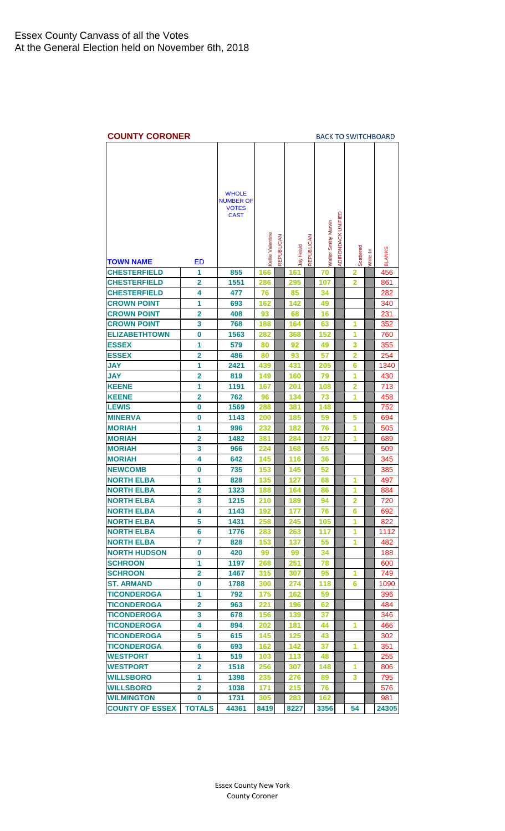<span id="page-10-0"></span>

| <b>COUNTY CORONER</b>  |                         |                                  |                         |            |           |            |                             |                    |                |          | <b>BACK TO SWITCHBOARD</b> |
|------------------------|-------------------------|----------------------------------|-------------------------|------------|-----------|------------|-----------------------------|--------------------|----------------|----------|----------------------------|
|                        |                         |                                  |                         |            |           |            |                             |                    |                |          |                            |
|                        |                         |                                  |                         |            |           |            |                             |                    |                |          |                            |
|                        |                         | <b>WHOLE</b>                     |                         |            |           |            |                             |                    |                |          |                            |
|                        |                         | <b>NUMBER OF</b><br><b>VOTES</b> |                         |            |           |            |                             |                    |                |          |                            |
|                        |                         | <b>CAST</b>                      |                         |            |           |            |                             |                    |                |          |                            |
|                        |                         |                                  |                         |            |           |            |                             |                    |                |          |                            |
|                        |                         |                                  |                         |            |           |            |                             |                    |                |          |                            |
|                        |                         |                                  |                         |            |           |            |                             |                    |                |          |                            |
| <b>TOWN NAME</b>       | ED                      |                                  | <b>Kellie Valentine</b> | REPUBLICAN | lay Heald | REPUBLICAN | <b>Natter Smitty Marvin</b> | ADIRONDACK UNIFIED | Scattered      | Write-In | <b>BLANKS</b>              |
| <b>CHESTERFIELD</b>    | 1                       | 855                              | 166                     |            | 161       |            | 70                          |                    | 2              |          | 456                        |
| <b>CHESTERFIELD</b>    | $\overline{2}$          | 1551                             | 286                     |            | 295       |            | 107                         |                    | 2              |          | 861                        |
| <b>CHESTERFIELD</b>    | 4                       | 477                              | 76                      |            | 85        |            | 34                          |                    |                |          | 282                        |
| <b>CROWN POINT</b>     | 1                       | 693                              | 162                     |            | 142       |            | 49                          |                    |                |          | 340                        |
| <b>CROWN POINT</b>     | $\overline{\mathbf{2}}$ | 408                              | 93                      |            | 68        |            | 16                          |                    |                |          | 231                        |
| <b>CROWN POINT</b>     | 3                       | 768                              | 188                     |            | 164       |            | 63                          |                    | 1              |          | 352                        |
| <b>ELIZABETHTOWN</b>   | 0                       | 1563                             | 282                     |            | 368       |            | 152                         |                    | 1              |          | 760                        |
| <b>ESSEX</b>           | 1                       | 579                              | 80                      |            | 92        |            | 49                          |                    | 3              |          | 355                        |
| <b>ESSEX</b>           | 2                       | 486                              | 80                      |            | 93        |            | 57                          |                    | 2              |          | 254                        |
| <b>JAY</b>             | 1                       | 2421                             | 439                     |            | 431       |            | 205                         |                    | 6              |          | 1340                       |
| <b>JAY</b>             | $\overline{2}$          | 819                              | 149                     |            | 160       |            | 79                          |                    | 1              |          | 430                        |
| <b>KEENE</b>           | 1                       | 1191                             | 167                     |            | 201       |            | 108                         |                    | $\overline{2}$ |          | 713                        |
| <b>KEENE</b>           | $\overline{\mathbf{2}}$ | 762                              | 96                      |            | 134       |            | 73                          |                    | 1              |          | 458                        |
| <b>LEWIS</b>           | 0                       | 1569                             | 288                     |            | 381       |            | 148                         |                    |                |          | 752                        |
| <b>MINERVA</b>         | 0                       | 1143                             | 200                     |            | 185       |            | 59                          |                    | 5              |          | 694                        |
| <b>MORIAH</b>          | 1                       | 996                              | 232                     |            | 182       |            | 76                          |                    | 1              |          | 505                        |
| <b>MORIAH</b>          | $\overline{2}$          | 1482                             | 381                     |            | 284       |            | 127                         |                    | 1              |          | 689                        |
| <b>MORIAH</b>          | 3                       | 966                              | 224                     |            | 168       |            | 65                          |                    |                |          | 509                        |
| <b>MORIAH</b>          | 4                       | 642                              | 145                     |            | 116       |            | 36                          |                    |                |          | 345                        |
| <b>NEWCOMB</b>         | 0                       | 735                              | 153                     |            | 145       |            | 52                          |                    |                |          | 385                        |
| <b>NORTH ELBA</b>      | 1                       | 828                              | 135                     |            | 127       |            | 68                          |                    | 1              |          | 497                        |
| <b>NORTH ELBA</b>      | 2                       | 1323                             | 188                     |            | 164       |            | 86                          |                    | 1              |          | 884                        |
| <b>NORTH ELBA</b>      | 3                       | 1215                             | 210                     |            | 189       |            | 94                          |                    | $\overline{2}$ |          | 720                        |
| <b>NORTH ELBA</b>      | 4                       | 1143                             | 192                     |            | 177       |            | 76                          |                    | 6              |          | 692                        |
| <b>NORTH ELBA</b>      | 5                       | 1431                             | 258                     |            | 245       |            | 105                         |                    | 1              |          | 822                        |
| <b>NORTH ELBA</b>      | 6                       | 1776                             | 283                     |            | 263       |            | 117                         |                    | 1              |          | 1112                       |
| <b>NORTH ELBA</b>      | 7                       | 828                              | 153                     |            | 137       |            | 55                          |                    | 1              |          | 482                        |
| <b>NORTH HUDSON</b>    | 0                       | 420                              | 99                      |            | 99        |            | 34                          |                    |                |          | 188                        |
| <b>SCHROON</b>         | 1                       | 1197                             | 268                     |            | 251       |            | 78                          |                    |                |          | 600                        |
| <b>SCHROON</b>         | $\overline{\mathbf{2}}$ | 1467                             | 315                     |            | 307       |            | 95                          |                    | 1              |          | 749                        |
| <b>ST. ARMAND</b>      | $\bf{0}$                | 1788                             | 300                     |            | 274       |            | 118                         |                    | 6              |          | 1090                       |
| <b>TICONDEROGA</b>     | 1                       | 792                              | 175                     |            | 162       |            | 59                          |                    |                |          | 396                        |
| <b>TICONDEROGA</b>     | $\overline{\mathbf{2}}$ | 963                              | 221                     |            | 196       |            | 62                          |                    |                |          | 484                        |
| <b>TICONDEROGA</b>     | 3                       | 678                              | 156                     |            | 139       |            | 37                          |                    |                |          | 346                        |
| <b>TICONDEROGA</b>     | 4                       | 894                              | 202                     |            | 181       |            | 44                          |                    | 1              |          | 466                        |
| <b>TICONDEROGA</b>     | 5                       | 615                              | 145                     |            | 125       |            | 43                          |                    |                |          | 302                        |
| <b>TICONDEROGA</b>     | 6                       | 693                              | 162                     |            | 142       |            | 37                          |                    | 1              |          | 351                        |
| <b>WESTPORT</b>        | 1                       | 519                              | 103                     |            | 113       |            | 48                          |                    |                |          | 255                        |
| <b>WESTPORT</b>        | $\overline{\mathbf{2}}$ | 1518                             | 256                     |            | 307       |            | 148                         |                    | 1              |          | 806                        |
| <b>WILLSBORO</b>       | 1                       | 1398                             | 235                     |            | 276       |            | 89                          |                    | 3              |          | 795                        |
| <b>WILLSBORO</b>       | $\overline{2}$          | 1038                             | 171                     |            | 215       |            | 76                          |                    |                |          | 576                        |
| <b>WILMINGTON</b>      | 0                       | 1731                             | 305                     |            | 283       |            | 162                         |                    |                |          | 981                        |
| <b>COUNTY OF ESSEX</b> | <b>TOTALS</b>           | 44361                            | 8419                    |            | 8227      |            | 3356                        |                    | 54             |          | 24305                      |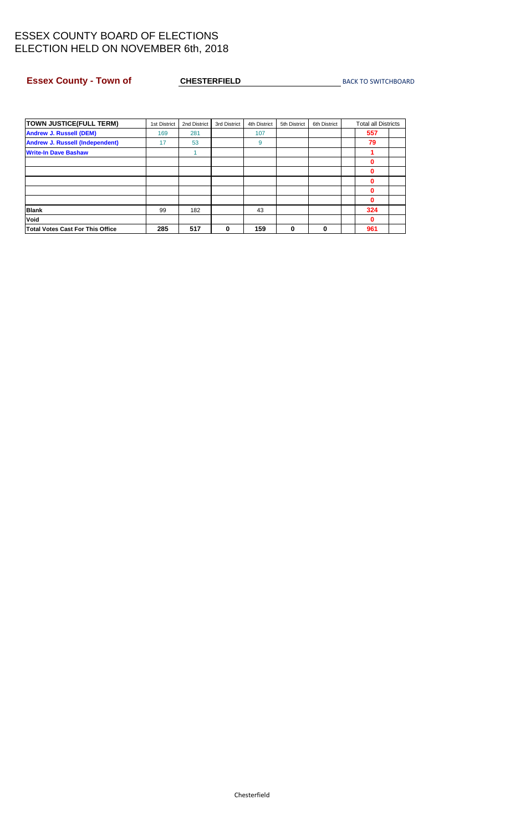#### <span id="page-11-0"></span>**Essex County - Town of CHESTERFIELD** [BACK TO SWITCHBOARD](#page-0-0)

| <b>TOWN JUSTICE(FULL TERM)</b>          | 1st District | 2nd District | 3rd District | 4th District | 5th District | 6th District | <b>Total all Districts</b> |
|-----------------------------------------|--------------|--------------|--------------|--------------|--------------|--------------|----------------------------|
| <b>Andrew J. Russell (DEM)</b>          | 169          | 281          |              | 107          |              |              | 557                        |
| <b>Andrew J. Russell (Independent)</b>  | 17           | 53           |              | 9            |              |              | 79                         |
| <b>Write-In Dave Bashaw</b>             |              |              |              |              |              |              |                            |
|                                         |              |              |              |              |              |              | 0                          |
|                                         |              |              |              |              |              |              | 0                          |
|                                         |              |              |              |              |              |              | 0                          |
|                                         |              |              |              |              |              |              | 0                          |
|                                         |              |              |              |              |              |              | 0                          |
| <b>Blank</b>                            | 99           | 182          |              | 43           |              |              | 324                        |
| Void                                    |              |              |              |              |              |              | 0                          |
| <b>Total Votes Cast For This Office</b> | 285          | 517          | 0            | 159          | 0            | 0            | 961                        |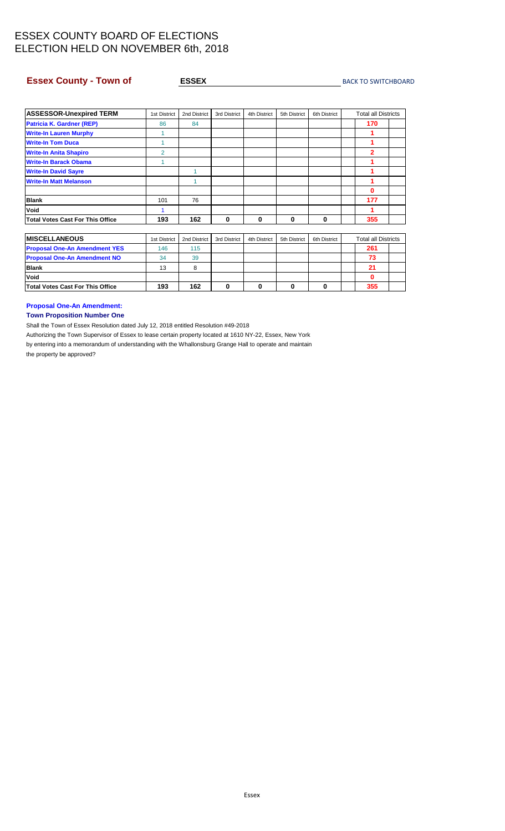#### <span id="page-12-0"></span>**ESSEX County - Town of Anti-American County - Town of American Control ESSEX** [BACK TO SWITCHBOARD](#page-0-0)

| <b>ASSESSOR-Unexpired TERM</b>          | 1st District | 2nd District | 3rd District | 4th District | 5th District | 6th District | <b>Total all Districts</b> |  |
|-----------------------------------------|--------------|--------------|--------------|--------------|--------------|--------------|----------------------------|--|
| <b>Patricia K. Gardner (REP)</b>        | 86           | 84           |              |              |              |              | 170                        |  |
| <b>Write-In Lauren Murphy</b>           |              |              |              |              |              |              |                            |  |
| <b>Write-In Tom Duca</b>                |              |              |              |              |              |              |                            |  |
| <b>Write-In Anita Shapiro</b>           | 2            |              |              |              |              |              | $\overline{2}$             |  |
| <b>Write-In Barack Obama</b>            |              |              |              |              |              |              |                            |  |
| <b>Write-In David Sayre</b>             |              |              |              |              |              |              |                            |  |
| <b>Write-In Matt Melanson</b>           |              |              |              |              |              |              |                            |  |
|                                         |              |              |              |              |              |              | 0                          |  |
| <b>Blank</b>                            | 101          | 76           |              |              |              |              | 177                        |  |
| <b>Void</b>                             |              |              |              |              |              |              |                            |  |
| <b>Total Votes Cast For This Office</b> | 193          | 162          | 0            | 0            | 0            | 0            | 355                        |  |

| <b>IMISCELLANEOUS</b>                   | 1st District | 2nd District | 3rd District | 4th District | 5th District | 6th District | <b>Total all Districts</b> |  |
|-----------------------------------------|--------------|--------------|--------------|--------------|--------------|--------------|----------------------------|--|
| <b>Proposal One-An Amendment YES</b>    | 146          | 115          |              |              |              |              | 261                        |  |
| <b>Proposal One-An Amendment NO</b>     | 34           | 39           |              |              |              |              | 73                         |  |
| <b>Blank</b>                            | 13           |              |              |              |              |              | 21                         |  |
| <b>Void</b>                             |              |              |              |              |              |              |                            |  |
| <b>Total Votes Cast For This Office</b> | 193          | 162          |              |              |              |              | 355                        |  |

**Proposal One-An Amendment:**

**Town Proposition Number One**

Shall the Town of Essex Resolution dated July 12, 2018 entitled Resolution #49-2018

Authorizing the Town Supervisor of Essex to lease certain property located at 1610 NY-22, Essex, New York by entering into a memorandum of understanding with the Whallonsburg Grange Hall to operate and maintain

the property be approved?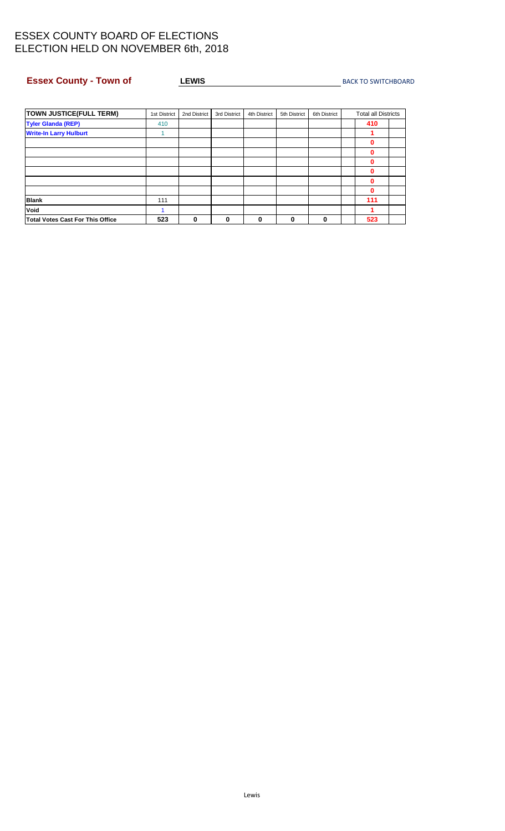# <span id="page-13-0"></span>**Essex County - Town of CEWIS ACCEPTED ACCEPTS A LEWIS CONSUMING A [BACK TO SWITCHBOARD](#page-0-0)**

| <b>TOWN JUSTICE(FULL TERM)</b>          | 1st District | 2nd District | 3rd District | 4th District | 5th District | 6th District | <b>Total all Districts</b> |  |
|-----------------------------------------|--------------|--------------|--------------|--------------|--------------|--------------|----------------------------|--|
| <b>Tyler Glanda (REP)</b>               | 410          |              |              |              |              |              | 410                        |  |
| <b>Write-In Larry Hulburt</b>           |              |              |              |              |              |              |                            |  |
|                                         |              |              |              |              |              |              | Ω                          |  |
|                                         |              |              |              |              |              |              |                            |  |
|                                         |              |              |              |              |              |              |                            |  |
|                                         |              |              |              |              |              |              |                            |  |
|                                         |              |              |              |              |              |              | Ω                          |  |
|                                         |              |              |              |              |              |              | 0                          |  |
| <b>Blank</b>                            | 111          |              |              |              |              |              | 111                        |  |
| Void                                    |              |              |              |              |              |              |                            |  |
| <b>Total Votes Cast For This Office</b> | 523          | 0            | 0            | 0            | 0            | 0            | 523                        |  |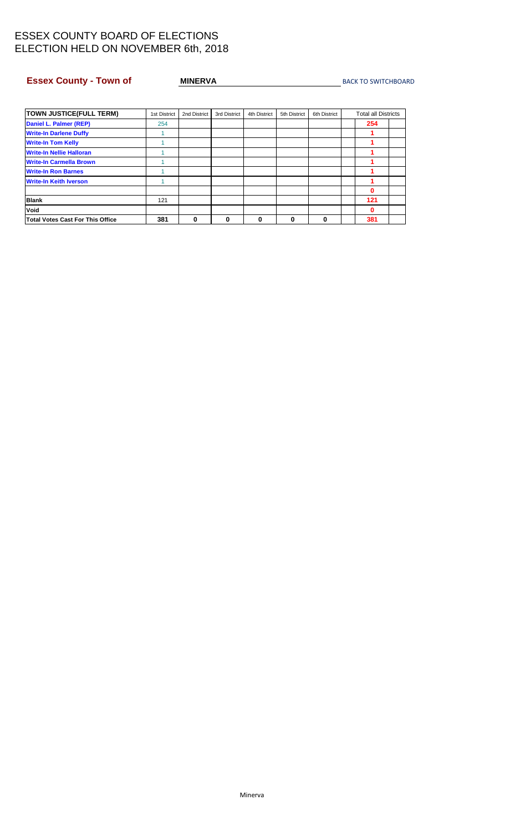#### <span id="page-14-0"></span>**Essex County - Town of MINERVA MINERVA** [BACK TO SWITCHBOARD](#page-0-0)

| <b>TOWN JUSTICE(FULL TERM)</b>          | 1st District | 2nd District | 3rd District | 4th District | 5th District | 6th District | <b>Total all Districts</b> |  |
|-----------------------------------------|--------------|--------------|--------------|--------------|--------------|--------------|----------------------------|--|
| Daniel L. Palmer (REP)                  | 254          |              |              |              |              |              | 254                        |  |
| <b>Write-In Darlene Duffy</b>           |              |              |              |              |              |              |                            |  |
| <b>Write-In Tom Kelly</b>               |              |              |              |              |              |              |                            |  |
| <b>Write-In Nellie Halloran</b>         |              |              |              |              |              |              |                            |  |
| <b>Write-In Carmella Brown</b>          |              |              |              |              |              |              |                            |  |
| <b>Write-In Ron Barnes</b>              |              |              |              |              |              |              |                            |  |
| <b>Write-In Keith Iverson</b>           |              |              |              |              |              |              |                            |  |
|                                         |              |              |              |              |              |              | 0                          |  |
| <b>Blank</b>                            | 121          |              |              |              |              |              | 121                        |  |
| Void                                    |              |              |              |              |              |              | 0                          |  |
| <b>Total Votes Cast For This Office</b> | 381          | 0            | 0            | 0            | 0            |              | 381                        |  |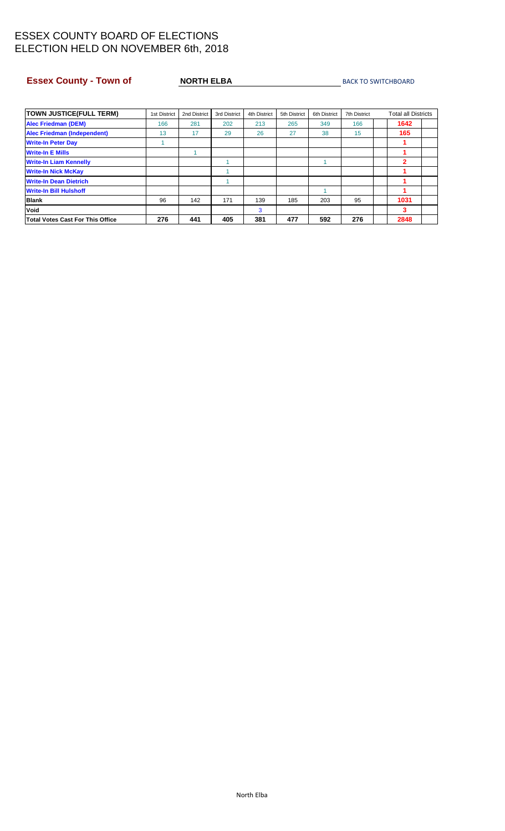#### <span id="page-15-0"></span>**Essex County - Town of NORTH ELBA** [BACK TO SWITCHBOARD](#page-0-0)

| <b>TOWN JUSTICE(FULL TERM)</b>     | 1st District | 2nd District | 3rd District | 4th District | 5th District | 6th District | <b>7th District</b> | <b>Total all Districts</b> |
|------------------------------------|--------------|--------------|--------------|--------------|--------------|--------------|---------------------|----------------------------|
| <b>Alec Friedman (DEM)</b>         | 166          | 281          | 202          | 213          | 265          | 349          | 166                 | 1642                       |
| <b>Alec Friedman (Independent)</b> | 13           | 17           | 29           | 26           | 27           | 38           | 15                  | 165                        |
| <b>Write-In Peter Day</b>          |              |              |              |              |              |              |                     |                            |
| <b>Write-In E Mills</b>            |              |              |              |              |              |              |                     |                            |
| <b>Write-In Liam Kennelly</b>      |              |              |              |              |              |              |                     | 2                          |
| <b>Write-In Nick McKay</b>         |              |              |              |              |              |              |                     |                            |
| <b>Write-In Dean Dietrich</b>      |              |              |              |              |              |              |                     |                            |
| <b>Write-In Bill Hulshoff</b>      |              |              |              |              |              |              |                     |                            |
| <b>Blank</b>                       | 96           | 142          | 171          | 139          | 185          | 203          | 95                  | 1031                       |
| <b>Void</b>                        |              |              |              | 3            |              |              |                     | 3                          |
| Total Votes Cast For This Office   | 276          | 441          | 405          | 381          | 477          | 592          | 276                 | 2848                       |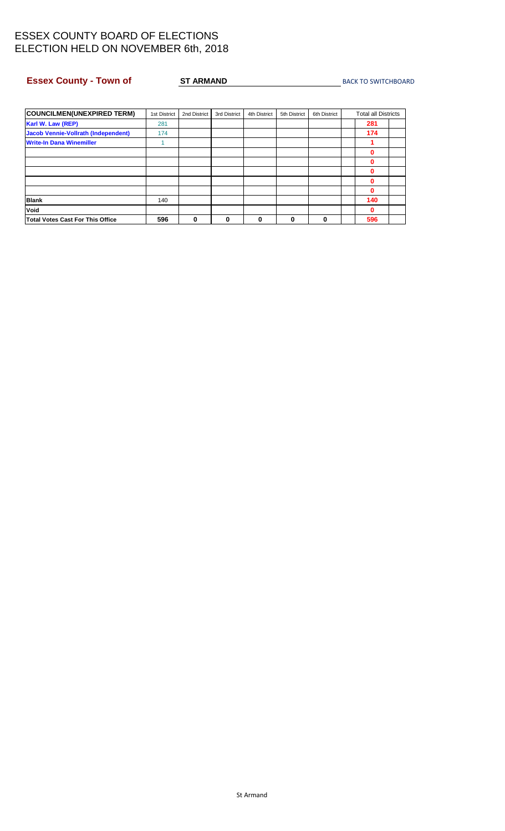#### <span id="page-16-0"></span>**Essex County - Town of ST ARMAND** [BACK TO SWITCHBOARD](#page-0-0)

| <b>COUNCILMEN(UNEXPIRED TERM)</b>          | 1st District | 2nd District | 3rd District | 4th District | 5th District | 6th District | <b>Total all Districts</b> |
|--------------------------------------------|--------------|--------------|--------------|--------------|--------------|--------------|----------------------------|
| Karl W. Law (REP)                          | 281          |              |              |              |              |              | 281                        |
| <b>Jacob Vennie-Vollrath (Independent)</b> | 174          |              |              |              |              |              | 174                        |
| <b>Write-In Dana Winemiller</b>            |              |              |              |              |              |              |                            |
|                                            |              |              |              |              |              |              | 0                          |
|                                            |              |              |              |              |              |              | 0                          |
|                                            |              |              |              |              |              |              | 0                          |
|                                            |              |              |              |              |              |              | 0                          |
|                                            |              |              |              |              |              |              | 0                          |
| <b>Blank</b>                               | 140          |              |              |              |              |              | 140                        |
| Void                                       |              |              |              |              |              |              | 0                          |
| <b>Total Votes Cast For This Office</b>    | 596          | 0            | 0            | 0            | 0            | 0            | 596                        |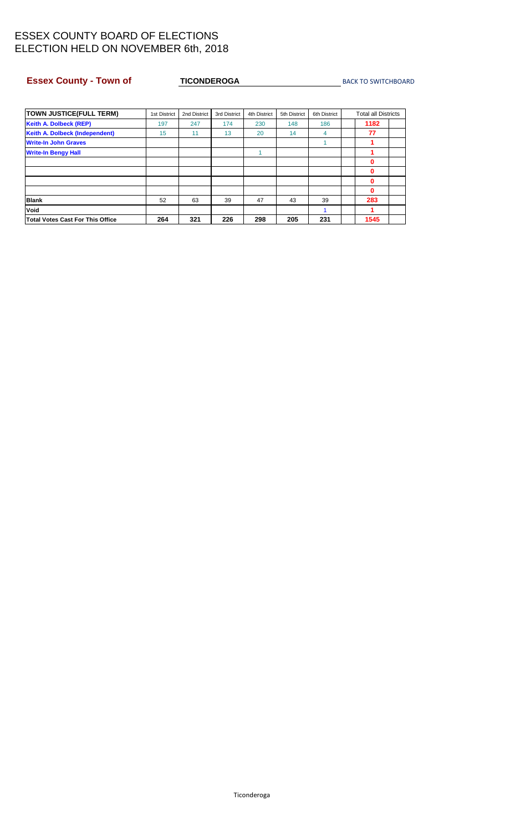#### <span id="page-17-0"></span>**Essex County - Town of TICONDEROGA** [BACK TO SWITCHBOARD](#page-0-0)

| <b>TOWN JUSTICE(FULL TERM)</b>          | 1st District | 2nd District | 3rd District | 4th District | 5th District | 6th District | <b>Total all Districts</b> |
|-----------------------------------------|--------------|--------------|--------------|--------------|--------------|--------------|----------------------------|
| <b>Keith A. Dolbeck (REP)</b>           | 197          | 247          | 174          | 230          | 148          | 186          | 1182                       |
| <b>Keith A. Dolbeck (Independent)</b>   | 15           | 11           | 13           | 20           | 14           | 4            | 77                         |
| <b>Write-In John Graves</b>             |              |              |              |              |              |              |                            |
| <b>Write-In Bengy Hall</b>              |              |              |              |              |              |              |                            |
|                                         |              |              |              |              |              |              | 0                          |
|                                         |              |              |              |              |              |              | 0                          |
|                                         |              |              |              |              |              |              | 0                          |
|                                         |              |              |              |              |              |              | 0                          |
| <b>Blank</b>                            | 52           | 63           | 39           | 47           | 43           | 39           | 283                        |
| Void                                    |              |              |              |              |              |              | 1                          |
| <b>Total Votes Cast For This Office</b> | 264          | 321          | 226          | 298          | 205          | 231          | 1545                       |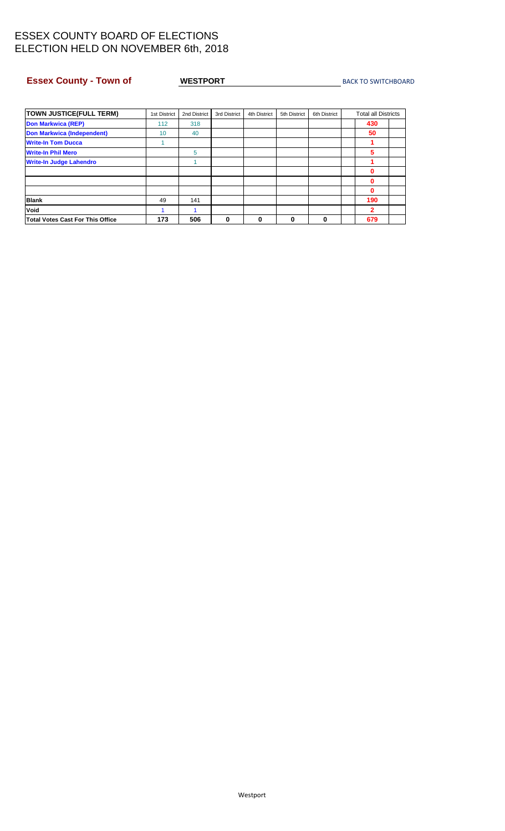#### <span id="page-18-0"></span>**Essex County - Town of WESTPORT** MEXICLE [BACK TO SWITCHBOARD](#page-0-0)

| <b>TOWN JUSTICE(FULL TERM)</b>          | 1st District | 2nd District | 3rd District | 4th District | 5th District | 6th District | <b>Total all Districts</b> |
|-----------------------------------------|--------------|--------------|--------------|--------------|--------------|--------------|----------------------------|
| <b>Don Markwica (REP)</b>               | 112          | 318          |              |              |              |              | 430                        |
| <b>Don Markwica (Independent)</b>       | 10           | 40           |              |              |              |              | 50                         |
| <b>Write-In Tom Ducca</b>               |              |              |              |              |              |              |                            |
| <b>Write-In Phil Mero</b>               |              | 5            |              |              |              |              | 5                          |
| <b>Write-In Judge Lahendro</b>          |              |              |              |              |              |              |                            |
|                                         |              |              |              |              |              |              | 0                          |
|                                         |              |              |              |              |              |              | 0                          |
|                                         |              |              |              |              |              |              | 0                          |
| <b>Blank</b>                            | 49           | 141          |              |              |              |              | 190                        |
| Void                                    |              |              |              |              |              |              | 2                          |
| <b>Total Votes Cast For This Office</b> | 173          | 506          | 0            | 0            | 0            | 0            | 679                        |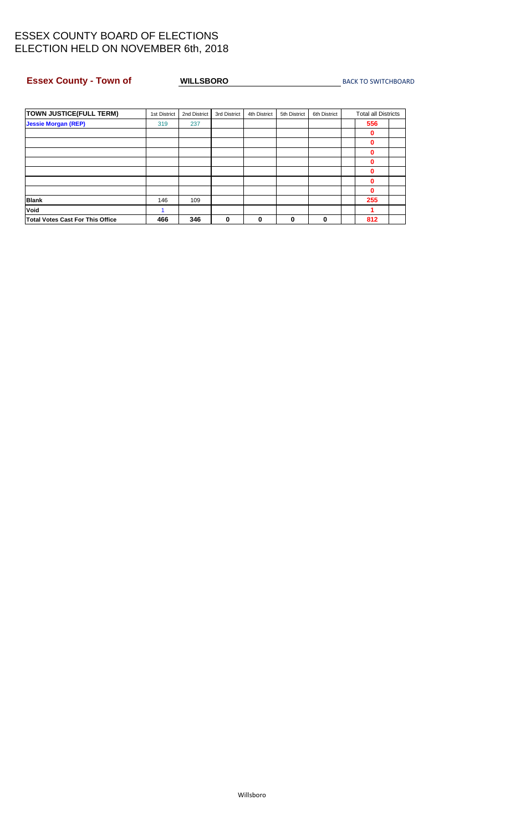#### <span id="page-19-0"></span>**Essex County - Town of WILLSBORO** [BACK TO SWITCHBOARD](#page-0-0)

| <b>TOWN JUSTICE(FULL TERM)</b>          | 1st District | 2nd District | 3rd District | 4th District | 5th District | 6th District | <b>Total all Districts</b> |  |
|-----------------------------------------|--------------|--------------|--------------|--------------|--------------|--------------|----------------------------|--|
| <b>Jessie Morgan (REP)</b>              | 319          | 237          |              |              |              |              | 556                        |  |
|                                         |              |              |              |              |              |              | 0                          |  |
|                                         |              |              |              |              |              |              | 0                          |  |
|                                         |              |              |              |              |              |              | 0                          |  |
|                                         |              |              |              |              |              |              | ŋ                          |  |
|                                         |              |              |              |              |              |              | n                          |  |
|                                         |              |              |              |              |              |              | 0                          |  |
|                                         |              |              |              |              |              |              | 0                          |  |
| <b>Blank</b>                            | 146          | 109          |              |              |              |              | 255                        |  |
| <b>Void</b>                             |              |              |              |              |              |              |                            |  |
| <b>Total Votes Cast For This Office</b> | 466          | 346          | $\mathbf{0}$ | 0            | 0            | 0            | 812                        |  |